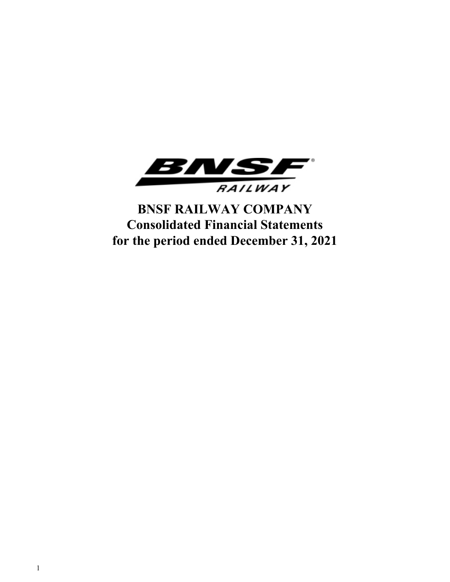

# **BNSF RAILWAY COMPANY Consolidated Financial Statements for the period ended December 31, 2021**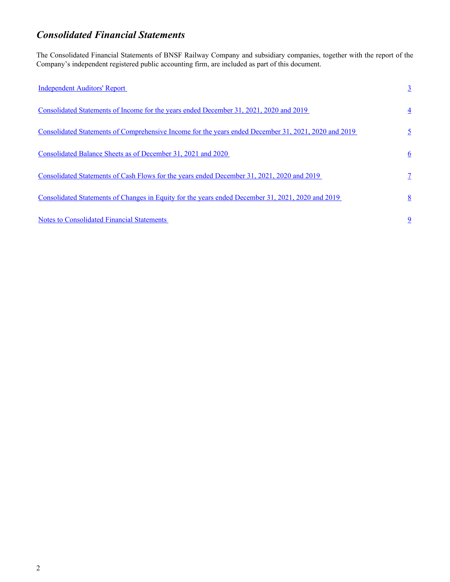# <span id="page-1-0"></span>*Consolidated Financial Statements*

The Consolidated Financial Statements of BNSF Railway Company and subsidiary companies, together with the report of the Company's independent registered public accounting firm, are included as part of this document.

| <b>Independent Auditors' Report</b>                                                                  | $\overline{3}$  |
|------------------------------------------------------------------------------------------------------|-----------------|
| Consolidated Statements of Income for the years ended December 31, 2021, 2020 and 2019               | $\overline{4}$  |
| Consolidated Statements of Comprehensive Income for the years ended December 31, 2021, 2020 and 2019 | $\overline{5}$  |
| Consolidated Balance Sheets as of December 31, 2021 and 2020                                         | $6\overline{6}$ |
| Consolidated Statements of Cash Flows for the years ended December 31, 2021, 2020 and 2019           | $\overline{1}$  |
| Consolidated Statements of Changes in Equity for the years ended December 31, 2021, 2020 and 2019    | 8               |
| <b>Notes to Consolidated Financial Statements</b>                                                    | $\overline{9}$  |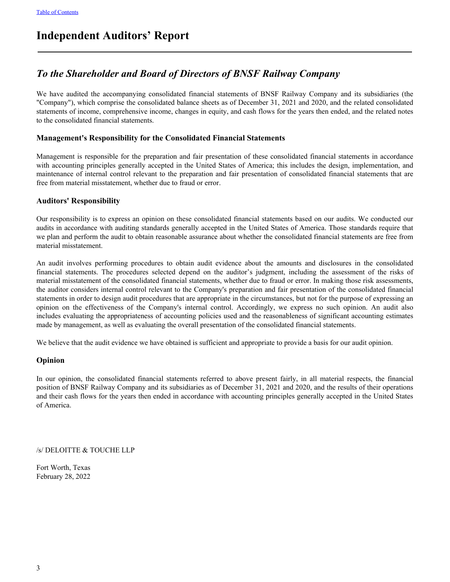# <span id="page-2-0"></span>**Independent Auditors' Report**

## *To the Shareholder and Board of Directors of BNSF Railway Company*

We have audited the accompanying consolidated financial statements of BNSF Railway Company and its subsidiaries (the "Company"), which comprise the consolidated balance sheets as of December 31, 2021 and 2020, and the related consolidated statements of income, comprehensive income, changes in equity, and cash flows for the years then ended, and the related notes to the consolidated financial statements.

### **Management's Responsibility for the Consolidated Financial Statements**

Management is responsible for the preparation and fair presentation of these consolidated financial statements in accordance with accounting principles generally accepted in the United States of America; this includes the design, implementation, and maintenance of internal control relevant to the preparation and fair presentation of consolidated financial statements that are free from material misstatement, whether due to fraud or error.

### **Auditors' Responsibility**

Our responsibility is to express an opinion on these consolidated financial statements based on our audits. We conducted our audits in accordance with auditing standards generally accepted in the United States of America. Those standards require that we plan and perform the audit to obtain reasonable assurance about whether the consolidated financial statements are free from material misstatement.

An audit involves performing procedures to obtain audit evidence about the amounts and disclosures in the consolidated financial statements. The procedures selected depend on the auditor's judgment, including the assessment of the risks of material misstatement of the consolidated financial statements, whether due to fraud or error. In making those risk assessments, the auditor considers internal control relevant to the Company's preparation and fair presentation of the consolidated financial statements in order to design audit procedures that are appropriate in the circumstances, but not for the purpose of expressing an opinion on the effectiveness of the Company's internal control. Accordingly, we express no such opinion. An audit also includes evaluating the appropriateness of accounting policies used and the reasonableness of significant accounting estimates made by management, as well as evaluating the overall presentation of the consolidated financial statements.

We believe that the audit evidence we have obtained is sufficient and appropriate to provide a basis for our audit opinion.

#### **Opinion**

In our opinion, the consolidated financial statements referred to above present fairly, in all material respects, the financial position of BNSF Railway Company and its subsidiaries as of December 31, 2021 and 2020, and the results of their operations and their cash flows for the years then ended in accordance with accounting principles generally accepted in the United States of America.

/s/ DELOITTE & TOUCHE LLP

Fort Worth, Texas February 28, 2022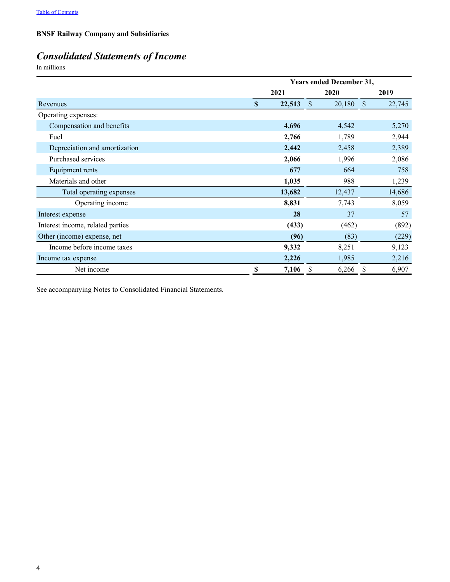# <span id="page-3-0"></span>*Consolidated Statements of Income*

In millions

|                                  | <b>Years ended December 31,</b> |               |        |               |        |  |  |
|----------------------------------|---------------------------------|---------------|--------|---------------|--------|--|--|
|                                  | 2021                            |               | 2020   |               | 2019   |  |  |
| Revenues                         | \$<br>22,513                    | $\mathcal{S}$ | 20,180 | <sup>S</sup>  | 22,745 |  |  |
| Operating expenses:              |                                 |               |        |               |        |  |  |
| Compensation and benefits        | 4,696                           |               | 4,542  |               | 5,270  |  |  |
| Fuel                             | 2,766                           |               | 1,789  |               | 2,944  |  |  |
| Depreciation and amortization    | 2,442                           |               | 2,458  |               | 2,389  |  |  |
| Purchased services               | 2,066                           |               | 1,996  |               | 2,086  |  |  |
| Equipment rents                  | 677                             |               | 664    |               | 758    |  |  |
| Materials and other              | 1,035                           |               | 988    |               | 1,239  |  |  |
| Total operating expenses         | 13,682                          |               | 12,437 |               | 14,686 |  |  |
| Operating income                 | 8,831                           |               | 7,743  |               | 8,059  |  |  |
| Interest expense                 | 28                              |               | 37     |               | 57     |  |  |
| Interest income, related parties | (433)                           |               | (462)  |               | (892)  |  |  |
| Other (income) expense, net      | (96)                            |               | (83)   |               | (229)  |  |  |
| Income before income taxes       | 9,332                           |               | 8,251  |               | 9,123  |  |  |
| Income tax expense               | 2,226                           |               | 1,985  |               | 2,216  |  |  |
| Net income                       | \$<br>7,106                     | S             | 6,266  | <sup>\$</sup> | 6,907  |  |  |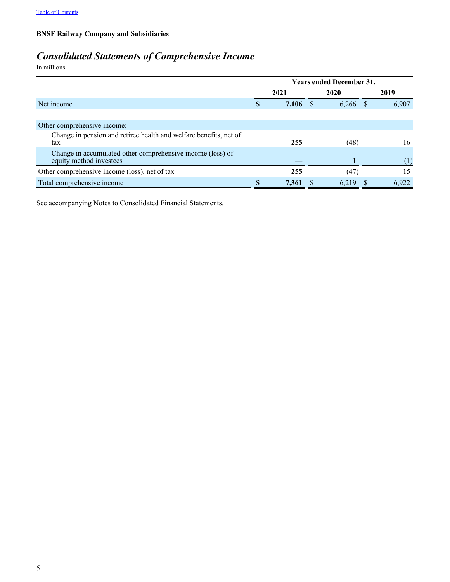# <span id="page-4-0"></span>*Consolidated Statements of Comprehensive Income*

In millions

|                                                                                       | <b>Years ended December 31,</b> |       |  |       |  |       |  |
|---------------------------------------------------------------------------------------|---------------------------------|-------|--|-------|--|-------|--|
|                                                                                       |                                 | 2021  |  | 2020  |  | 2019  |  |
| Net income                                                                            | S                               | 7,106 |  | 6,266 |  | 6,907 |  |
|                                                                                       |                                 |       |  |       |  |       |  |
| Other comprehensive income:                                                           |                                 |       |  |       |  |       |  |
| Change in pension and retiree health and welfare benefits, net of<br>tax              |                                 | 255   |  | (48)  |  | 16    |  |
| Change in accumulated other comprehensive income (loss) of<br>equity method investees |                                 |       |  |       |  |       |  |
| Other comprehensive income (loss), net of tax                                         |                                 | 255   |  | (47)  |  | 15    |  |
| Total comprehensive income                                                            |                                 | 7.361 |  | 6,219 |  | 6,922 |  |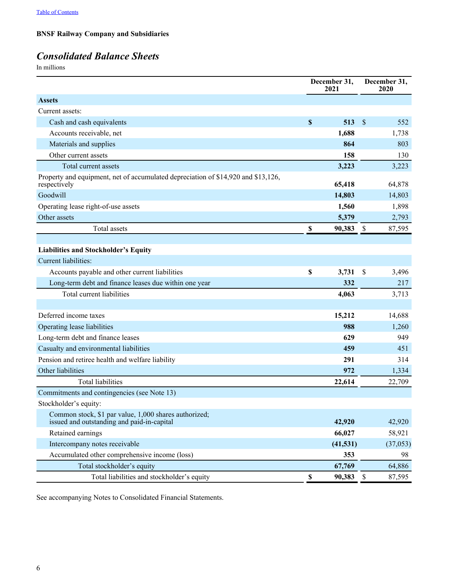# <span id="page-5-0"></span>*Consolidated Balance Sheets*

In millions

|                                                                                                     | December 31,<br>2021 |                           | December 31,<br>2020 |
|-----------------------------------------------------------------------------------------------------|----------------------|---------------------------|----------------------|
| <b>Assets</b>                                                                                       |                      |                           |                      |
| Current assets:                                                                                     |                      |                           |                      |
| Cash and cash equivalents                                                                           | \$<br>513            | $\mathcal{S}$             | 552                  |
| Accounts receivable, net                                                                            | 1,688                |                           | 1,738                |
| Materials and supplies                                                                              | 864                  |                           | 803                  |
| Other current assets                                                                                | 158                  |                           | 130                  |
| Total current assets                                                                                | 3,223                |                           | 3,223                |
| Property and equipment, net of accumulated depreciation of \$14,920 and \$13,126,<br>respectively   | 65,418               |                           | 64,878               |
| Goodwill                                                                                            | 14,803               |                           | 14,803               |
| Operating lease right-of-use assets                                                                 | 1,560                |                           | 1,898                |
| Other assets                                                                                        | 5,379                |                           | 2,793                |
| Total assets                                                                                        | \$<br>90,383         | $\boldsymbol{\mathsf{S}}$ | 87,595               |
|                                                                                                     |                      |                           |                      |
| <b>Liabilities and Stockholder's Equity</b>                                                         |                      |                           |                      |
| Current liabilities:                                                                                |                      |                           |                      |
| Accounts payable and other current liabilities                                                      | \$<br>3,731          | \$                        | 3,496                |
| Long-term debt and finance leases due within one year                                               | 332                  |                           | 217                  |
| Total current liabilities                                                                           | 4,063                |                           | 3,713                |
|                                                                                                     |                      |                           |                      |
| Deferred income taxes                                                                               | 15,212               |                           | 14,688               |
| Operating lease liabilities                                                                         | 988                  |                           | 1,260                |
| Long-term debt and finance leases                                                                   | 629                  |                           | 949                  |
| Casualty and environmental liabilities                                                              | 459                  |                           | 451                  |
| Pension and retiree health and welfare liability                                                    | 291                  |                           | 314                  |
| Other liabilities                                                                                   | 972                  |                           | 1,334                |
| <b>Total liabilities</b>                                                                            | 22,614               |                           | 22,709               |
| Commitments and contingencies (see Note 13)                                                         |                      |                           |                      |
| Stockholder's equity:                                                                               |                      |                           |                      |
| Common stock, \$1 par value, 1,000 shares authorized;<br>issued and outstanding and paid-in-capital | 42,920               |                           | 42,920               |
| Retained earnings                                                                                   | 66,027               |                           | 58,921               |
| Intercompany notes receivable                                                                       | (41, 531)            |                           | (37,053)             |
| Accumulated other comprehensive income (loss)                                                       | 353                  |                           | 98                   |
| Total stockholder's equity                                                                          | 67,769               |                           | 64,886               |
| Total liabilities and stockholder's equity                                                          | \$<br>90,383         | $\mathbb{S}$              | 87,595               |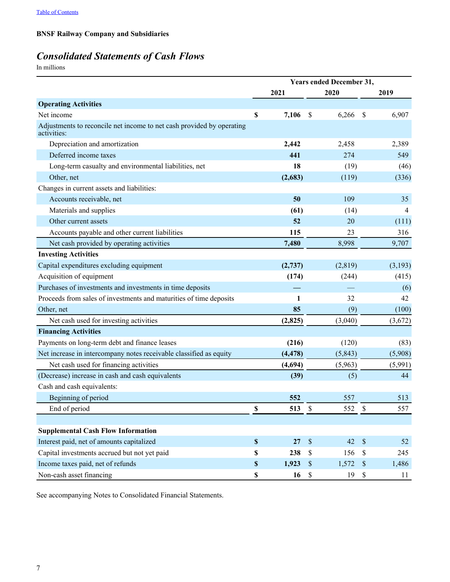# <span id="page-6-0"></span>*Consolidated Statements of Cash Flows*

In millions

|                                                                                      | <b>Years ended December 31,</b> |          |                           |          |               |         |
|--------------------------------------------------------------------------------------|---------------------------------|----------|---------------------------|----------|---------------|---------|
|                                                                                      |                                 | 2021     |                           | 2020     |               | 2019    |
| <b>Operating Activities</b>                                                          |                                 |          |                           |          |               |         |
| Net income                                                                           | \$                              | 7,106    | $\mathcal{S}$             | 6,266    | \$            | 6,907   |
| Adjustments to reconcile net income to net cash provided by operating<br>activities: |                                 |          |                           |          |               |         |
| Depreciation and amortization                                                        |                                 | 2,442    |                           | 2,458    |               | 2,389   |
| Deferred income taxes                                                                |                                 | 441      |                           | 274      |               | 549     |
| Long-term casualty and environmental liabilities, net                                |                                 | 18       |                           | (19)     |               | (46)    |
| Other, net                                                                           |                                 | (2,683)  |                           | (119)    |               | (336)   |
| Changes in current assets and liabilities:                                           |                                 |          |                           |          |               |         |
| Accounts receivable, net                                                             |                                 | 50       |                           | 109      |               | 35      |
| Materials and supplies                                                               |                                 | (61)     |                           | (14)     |               | 4       |
| Other current assets                                                                 |                                 | 52       |                           | 20       |               | (111)   |
| Accounts payable and other current liabilities                                       |                                 | 115      |                           | 23       |               | 316     |
| Net cash provided by operating activities                                            |                                 | 7,480    |                           | 8,998    |               | 9,707   |
| <b>Investing Activities</b>                                                          |                                 |          |                           |          |               |         |
| Capital expenditures excluding equipment                                             |                                 | (2,737)  |                           | (2,819)  |               | (3,193) |
| Acquisition of equipment                                                             |                                 | (174)    |                           | (244)    |               | (415)   |
| Purchases of investments and investments in time deposits                            |                                 |          |                           |          |               | (6)     |
| Proceeds from sales of investments and maturities of time deposits                   |                                 | 1        |                           | 32       |               | 42      |
| Other, net                                                                           |                                 | 85       |                           | (9)      |               | (100)   |
| Net cash used for investing activities                                               |                                 | (2,825)  |                           | (3,040)  |               | (3,672) |
| <b>Financing Activities</b>                                                          |                                 |          |                           |          |               |         |
| Payments on long-term debt and finance leases                                        |                                 | (216)    |                           | (120)    |               | (83)    |
| Net increase in intercompany notes receivable classified as equity                   |                                 | (4, 478) |                           | (5, 843) |               | (5,908) |
| Net cash used for financing activities                                               |                                 | (4,694)  |                           | (5,963)  |               | (5,991) |
| (Decrease) increase in cash and cash equivalents                                     |                                 | (39)     |                           | (5)      |               | 44      |
| Cash and cash equivalents:                                                           |                                 |          |                           |          |               |         |
| Beginning of period                                                                  |                                 | 552      |                           | 557      |               | 513     |
| End of period                                                                        | S                               | 513 \$   |                           | 552      | - \$          | 557     |
|                                                                                      |                                 |          |                           |          |               |         |
| <b>Supplemental Cash Flow Information</b>                                            |                                 |          |                           |          |               |         |
| Interest paid, net of amounts capitalized                                            | $\mathbb{S}$                    | 27       | $\mathcal{S}$             | 42       | $\mathcal{S}$ | 52      |
| Capital investments accrued but not yet paid                                         | \$                              | 238      | $\boldsymbol{\mathsf{S}}$ | 156      | $\mathbb{S}$  | 245     |
| Income taxes paid, net of refunds                                                    | $\mathbb S$                     | 1,923    | $\boldsymbol{\mathsf{S}}$ | 1,572    | $\mathbb{S}$  | 1,486   |
| Non-cash asset financing                                                             | \$                              | 16S      |                           | 19       | \$            | 11      |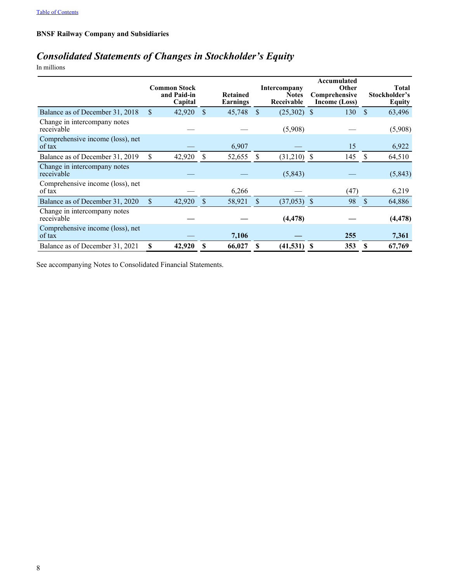# <span id="page-7-0"></span>*Consolidated Statements of Changes in Stockholder's Equity*

In millions

|                                            |                           | <b>Common Stock</b><br>and Paid-in<br>Capital |              | <b>Retained</b><br>Earnings |               | Intercompany<br><b>Notes</b><br>Receivable | Accumulated<br>Other<br>Comprehensive<br>Income (Loss) |               | Total<br>Stockholder's<br><b>Equity</b> |
|--------------------------------------------|---------------------------|-----------------------------------------------|--------------|-----------------------------|---------------|--------------------------------------------|--------------------------------------------------------|---------------|-----------------------------------------|
| Balance as of December 31, 2018            | \$                        | 42,920                                        | \$           | 45,748                      | <sup>\$</sup> | $(25,302)$ \$                              | 130                                                    | $\mathcal{S}$ | 63,496                                  |
| Change in intercompany notes<br>receivable |                           |                                               |              |                             |               | (5,908)                                    |                                                        |               | (5,908)                                 |
| Comprehensive income (loss), net<br>of tax |                           |                                               |              | 6,907                       |               |                                            | 15                                                     |               | 6,922                                   |
| Balance as of December 31, 2019            | \$                        | 42,920                                        | <sup>S</sup> | 52,655                      | -S            | $(31,210)$ \$                              | 145                                                    | <sup>\$</sup> | 64,510                                  |
| Change in intercompany notes<br>receivable |                           |                                               |              |                             |               | (5,843)                                    |                                                        |               | (5, 843)                                |
| Comprehensive income (loss), net<br>of tax |                           |                                               |              | 6,266                       |               |                                            | (47)                                                   |               | 6,219                                   |
| Balance as of December 31, 2020            | $\boldsymbol{\mathsf{S}}$ | 42,920                                        | <sup>S</sup> | 58,921                      | <sup>S</sup>  | $(37,053)$ \$                              | 98                                                     | <sup>\$</sup> | 64,886                                  |
| Change in intercompany notes<br>receivable |                           |                                               |              |                             |               | (4, 478)                                   |                                                        |               | (4, 478)                                |
| Comprehensive income (loss), net<br>of tax |                           |                                               |              | 7,106                       |               |                                            | 255                                                    |               | 7,361                                   |
| Balance as of December 31, 2021            | \$                        | 42,920                                        | S            | 66,027                      | S             | (41, 531)                                  | 353<br>-8                                              | S             | 67,769                                  |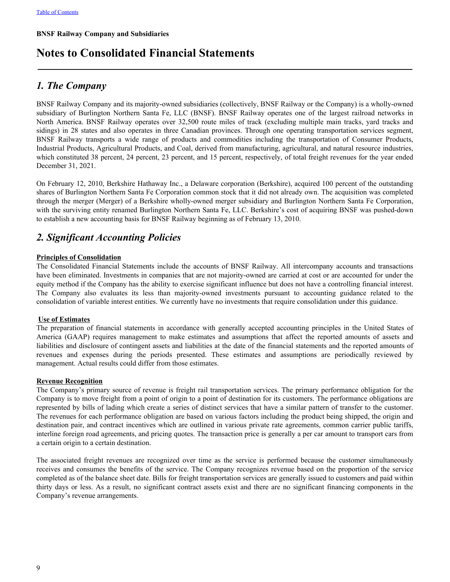# <span id="page-8-0"></span>**Notes to Consolidated Financial Statements**

## *1. The Company*

BNSF Railway Company and its majority-owned subsidiaries (collectively, BNSF Railway or the Company) is a wholly-owned subsidiary of Burlington Northern Santa Fe, LLC (BNSF). BNSF Railway operates one of the largest railroad networks in North America. BNSF Railway operates over 32,500 route miles of track (excluding multiple main tracks, yard tracks and sidings) in 28 states and also operates in three Canadian provinces. Through one operating transportation services segment, BNSF Railway transports a wide range of products and commodities including the transportation of Consumer Products, Industrial Products, Agricultural Products, and Coal, derived from manufacturing, agricultural, and natural resource industries, which constituted 38 percent, 24 percent, 23 percent, and 15 percent, respectively, of total freight revenues for the year ended December 31, 2021.

On February 12, 2010, Berkshire Hathaway Inc., a Delaware corporation (Berkshire), acquired 100 percent of the outstanding shares of Burlington Northern Santa Fe Corporation common stock that it did not already own. The acquisition was completed through the merger (Merger) of a Berkshire wholly-owned merger subsidiary and Burlington Northern Santa Fe Corporation, with the surviving entity renamed Burlington Northern Santa Fe, LLC. Berkshire's cost of acquiring BNSF was pushed-down to establish a new accounting basis for BNSF Railway beginning as of February 13, 2010.

## *2. Significant Accounting Policies*

### **Principles of Consolidation**

The Consolidated Financial Statements include the accounts of BNSF Railway. All intercompany accounts and transactions have been eliminated. Investments in companies that are not majority-owned are carried at cost or are accounted for under the equity method if the Company has the ability to exercise significant influence but does not have a controlling financial interest. The Company also evaluates its less than majority-owned investments pursuant to accounting guidance related to the consolidation of variable interest entities. We currently have no investments that require consolidation under this guidance.

#### **Use of Estimates**

The preparation of financial statements in accordance with generally accepted accounting principles in the United States of America (GAAP) requires management to make estimates and assumptions that affect the reported amounts of assets and liabilities and disclosure of contingent assets and liabilities at the date of the financial statements and the reported amounts of revenues and expenses during the periods presented. These estimates and assumptions are periodically reviewed by management. Actual results could differ from those estimates.

#### **Revenue Recognition**

The Company's primary source of revenue is freight rail transportation services. The primary performance obligation for the Company is to move freight from a point of origin to a point of destination for its customers. The performance obligations are represented by bills of lading which create a series of distinct services that have a similar pattern of transfer to the customer. The revenues for each performance obligation are based on various factors including the product being shipped, the origin and destination pair, and contract incentives which are outlined in various private rate agreements, common carrier public tariffs, interline foreign road agreements, and pricing quotes. The transaction price is generally a per car amount to transport cars from a certain origin to a certain destination.

The associated freight revenues are recognized over time as the service is performed because the customer simultaneously receives and consumes the benefits of the service. The Company recognizes revenue based on the proportion of the service completed as of the balance sheet date. Bills for freight transportation services are generally issued to customers and paid within thirty days or less. As a result, no significant contract assets exist and there are no significant financing components in the Company's revenue arrangements.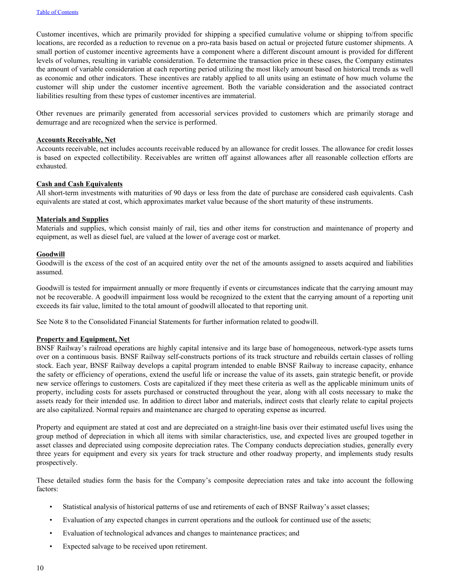Customer incentives, which are primarily provided for shipping a specified cumulative volume or shipping to/from specific locations, are recorded as a reduction to revenue on a pro-rata basis based on actual or projected future customer shipments. A small portion of customer incentive agreements have a component where a different discount amount is provided for different levels of volumes, resulting in variable consideration. To determine the transaction price in these cases, the Company estimates the amount of variable consideration at each reporting period utilizing the most likely amount based on historical trends as well as economic and other indicators. These incentives are ratably applied to all units using an estimate of how much volume the customer will ship under the customer incentive agreement. Both the variable consideration and the associated contract liabilities resulting from these types of customer incentives are immaterial.

Other revenues are primarily generated from accessorial services provided to customers which are primarily storage and demurrage and are recognized when the service is performed.

#### **Accounts Receivable, Net**

Accounts receivable, net includes accounts receivable reduced by an allowance for credit losses. The allowance for credit losses is based on expected collectibility. Receivables are written off against allowances after all reasonable collection efforts are exhausted.

#### **Cash and Cash Equivalents**

All short-term investments with maturities of 90 days or less from the date of purchase are considered cash equivalents. Cash equivalents are stated at cost, which approximates market value because of the short maturity of these instruments.

#### **Materials and Supplies**

Materials and supplies, which consist mainly of rail, ties and other items for construction and maintenance of property and equipment, as well as diesel fuel, are valued at the lower of average cost or market.

#### **Goodwill**

Goodwill is the excess of the cost of an acquired entity over the net of the amounts assigned to assets acquired and liabilities assumed.

Goodwill is tested for impairment annually or more frequently if events or circumstances indicate that the carrying amount may not be recoverable. A goodwill impairment loss would be recognized to the extent that the carrying amount of a reporting unit exceeds its fair value, limited to the total amount of goodwill allocated to that reporting unit.

See Note 8 to the Consolidated Financial Statements for further information related to goodwill.

#### **Property and Equipment, Net**

BNSF Railway's railroad operations are highly capital intensive and its large base of homogeneous, network-type assets turns over on a continuous basis. BNSF Railway self-constructs portions of its track structure and rebuilds certain classes of rolling stock. Each year, BNSF Railway develops a capital program intended to enable BNSF Railway to increase capacity, enhance the safety or efficiency of operations, extend the useful life or increase the value of its assets, gain strategic benefit, or provide new service offerings to customers. Costs are capitalized if they meet these criteria as well as the applicable minimum units of property, including costs for assets purchased or constructed throughout the year, along with all costs necessary to make the assets ready for their intended use. In addition to direct labor and materials, indirect costs that clearly relate to capital projects are also capitalized. Normal repairs and maintenance are charged to operating expense as incurred.

Property and equipment are stated at cost and are depreciated on a straight-line basis over their estimated useful lives using the group method of depreciation in which all items with similar characteristics, use, and expected lives are grouped together in asset classes and depreciated using composite depreciation rates. The Company conducts depreciation studies, generally every three years for equipment and every six years for track structure and other roadway property, and implements study results prospectively.

These detailed studies form the basis for the Company's composite depreciation rates and take into account the following factors:

- Statistical analysis of historical patterns of use and retirements of each of BNSF Railway's asset classes;
- Evaluation of any expected changes in current operations and the outlook for continued use of the assets;
- Evaluation of technological advances and changes to maintenance practices; and
- Expected salvage to be received upon retirement.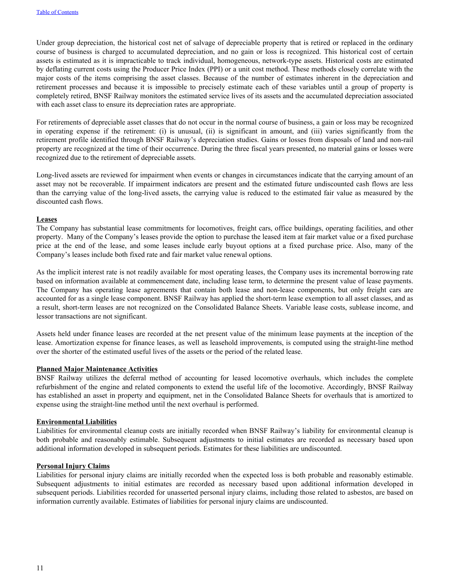Under group depreciation, the historical cost net of salvage of depreciable property that is retired or replaced in the ordinary course of business is charged to accumulated depreciation, and no gain or loss is recognized. This historical cost of certain assets is estimated as it is impracticable to track individual, homogeneous, network-type assets. Historical costs are estimated by deflating current costs using the Producer Price Index (PPI) or a unit cost method. These methods closely correlate with the major costs of the items comprising the asset classes. Because of the number of estimates inherent in the depreciation and retirement processes and because it is impossible to precisely estimate each of these variables until a group of property is completely retired, BNSF Railway monitors the estimated service lives of its assets and the accumulated depreciation associated with each asset class to ensure its depreciation rates are appropriate.

For retirements of depreciable asset classes that do not occur in the normal course of business, a gain or loss may be recognized in operating expense if the retirement: (i) is unusual, (ii) is significant in amount, and (iii) varies significantly from the retirement profile identified through BNSF Railway's depreciation studies. Gains or losses from disposals of land and non-rail property are recognized at the time of their occurrence. During the three fiscal years presented, no material gains or losses were recognized due to the retirement of depreciable assets.

Long-lived assets are reviewed for impairment when events or changes in circumstances indicate that the carrying amount of an asset may not be recoverable. If impairment indicators are present and the estimated future undiscounted cash flows are less than the carrying value of the long-lived assets, the carrying value is reduced to the estimated fair value as measured by the discounted cash flows.

#### **Leases**

The Company has substantial lease commitments for locomotives, freight cars, office buildings, operating facilities, and other property. Many of the Company's leases provide the option to purchase the leased item at fair market value or a fixed purchase price at the end of the lease, and some leases include early buyout options at a fixed purchase price. Also, many of the Company's leases include both fixed rate and fair market value renewal options.

As the implicit interest rate is not readily available for most operating leases, the Company uses its incremental borrowing rate based on information available at commencement date, including lease term, to determine the present value of lease payments. The Company has operating lease agreements that contain both lease and non-lease components, but only freight cars are accounted for as a single lease component. BNSF Railway has applied the short-term lease exemption to all asset classes, and as a result, short-term leases are not recognized on the Consolidated Balance Sheets. Variable lease costs, sublease income, and lessor transactions are not significant.

Assets held under finance leases are recorded at the net present value of the minimum lease payments at the inception of the lease. Amortization expense for finance leases, as well as leasehold improvements, is computed using the straight-line method over the shorter of the estimated useful lives of the assets or the period of the related lease.

#### **Planned Major Maintenance Activities**

BNSF Railway utilizes the deferral method of accounting for leased locomotive overhauls, which includes the complete refurbishment of the engine and related components to extend the useful life of the locomotive. Accordingly, BNSF Railway has established an asset in property and equipment, net in the Consolidated Balance Sheets for overhauls that is amortized to expense using the straight-line method until the next overhaul is performed.

#### **Environmental Liabilities**

Liabilities for environmental cleanup costs are initially recorded when BNSF Railway's liability for environmental cleanup is both probable and reasonably estimable. Subsequent adjustments to initial estimates are recorded as necessary based upon additional information developed in subsequent periods. Estimates for these liabilities are undiscounted.

#### **Personal Injury Claims**

Liabilities for personal injury claims are initially recorded when the expected loss is both probable and reasonably estimable. Subsequent adjustments to initial estimates are recorded as necessary based upon additional information developed in subsequent periods. Liabilities recorded for unasserted personal injury claims, including those related to asbestos, are based on information currently available. Estimates of liabilities for personal injury claims are undiscounted.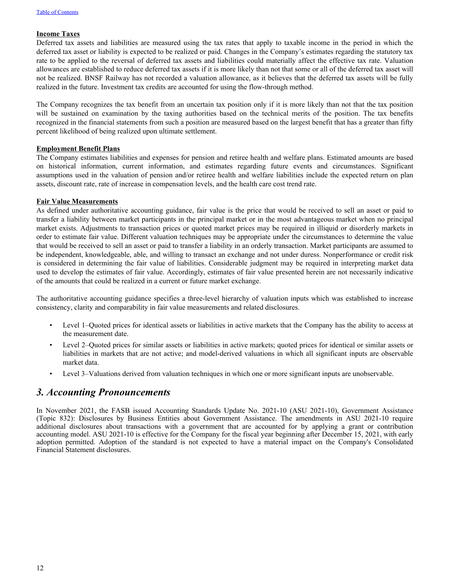#### **Income Taxes**

Deferred tax assets and liabilities are measured using the tax rates that apply to taxable income in the period in which the deferred tax asset or liability is expected to be realized or paid. Changes in the Company's estimates regarding the statutory tax rate to be applied to the reversal of deferred tax assets and liabilities could materially affect the effective tax rate. Valuation allowances are established to reduce deferred tax assets if it is more likely than not that some or all of the deferred tax asset will not be realized. BNSF Railway has not recorded a valuation allowance, as it believes that the deferred tax assets will be fully realized in the future. Investment tax credits are accounted for using the flow-through method.

The Company recognizes the tax benefit from an uncertain tax position only if it is more likely than not that the tax position will be sustained on examination by the taxing authorities based on the technical merits of the position. The tax benefits recognized in the financial statements from such a position are measured based on the largest benefit that has a greater than fifty percent likelihood of being realized upon ultimate settlement.

#### **Employment Benefit Plans**

The Company estimates liabilities and expenses for pension and retiree health and welfare plans. Estimated amounts are based on historical information, current information, and estimates regarding future events and circumstances. Significant assumptions used in the valuation of pension and/or retiree health and welfare liabilities include the expected return on plan assets, discount rate, rate of increase in compensation levels, and the health care cost trend rate.

#### **Fair Value Measurements**

As defined under authoritative accounting guidance, fair value is the price that would be received to sell an asset or paid to transfer a liability between market participants in the principal market or in the most advantageous market when no principal market exists. Adjustments to transaction prices or quoted market prices may be required in illiquid or disorderly markets in order to estimate fair value. Different valuation techniques may be appropriate under the circumstances to determine the value that would be received to sell an asset or paid to transfer a liability in an orderly transaction. Market participants are assumed to be independent, knowledgeable, able, and willing to transact an exchange and not under duress. Nonperformance or credit risk is considered in determining the fair value of liabilities. Considerable judgment may be required in interpreting market data used to develop the estimates of fair value. Accordingly, estimates of fair value presented herein are not necessarily indicative of the amounts that could be realized in a current or future market exchange.

The authoritative accounting guidance specifies a three-level hierarchy of valuation inputs which was established to increase consistency, clarity and comparability in fair value measurements and related disclosures.

- Level 1–Quoted prices for identical assets or liabilities in active markets that the Company has the ability to access at the measurement date.
- Level 2–Quoted prices for similar assets or liabilities in active markets; quoted prices for identical or similar assets or liabilities in markets that are not active; and model-derived valuations in which all significant inputs are observable market data.
- Level 3–Valuations derived from valuation techniques in which one or more significant inputs are unobservable.

### *3. Accounting Pronouncements*

In November 2021, the FASB issued Accounting Standards Update No. 2021-10 (ASU 2021-10), Government Assistance (Topic 832): Disclosures by Business Entities about Government Assistance. The amendments in ASU 2021-10 require additional disclosures about transactions with a government that are accounted for by applying a grant or contribution accounting model. ASU 2021-10 is effective for the Company for the fiscal year beginning after December 15, 2021, with early adoption permitted. Adoption of the standard is not expected to have a material impact on the Company's Consolidated Financial Statement disclosures.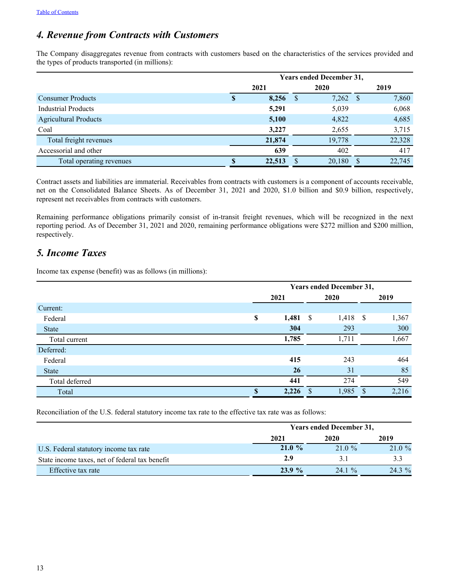## *4. Revenue from Contracts with Customers*

The Company disaggregates revenue from contracts with customers based on the characteristics of the services provided and the types of products transported (in millions):

|                              | <b>Years ended December 31,</b> |        |   |        |      |        |  |  |  |  |
|------------------------------|---------------------------------|--------|---|--------|------|--------|--|--|--|--|
|                              |                                 | 2021   |   | 2020   |      | 2019   |  |  |  |  |
| <b>Consumer Products</b>     |                                 | 8,256  | S | 7,262  | - \$ | 7,860  |  |  |  |  |
| Industrial Products          |                                 | 5,291  |   | 5,039  |      | 6,068  |  |  |  |  |
| <b>Agricultural Products</b> |                                 | 5,100  |   | 4,822  |      | 4,685  |  |  |  |  |
| Coal                         |                                 | 3,227  |   | 2,655  |      | 3,715  |  |  |  |  |
| Total freight revenues       |                                 | 21,874 |   | 19,778 |      | 22,328 |  |  |  |  |
| Accessorial and other        |                                 | 639    |   | 402    |      | 417    |  |  |  |  |
| Total operating revenues     |                                 | 22,513 |   | 20,180 | -S   | 22,745 |  |  |  |  |

Contract assets and liabilities are immaterial. Receivables from contracts with customers is a component of accounts receivable, net on the Consolidated Balance Sheets. As of December 31, 2021 and 2020, \$1.0 billion and \$0.9 billion, respectively, represent net receivables from contracts with customers.

Remaining performance obligations primarily consist of in-transit freight revenues, which will be recognized in the next reporting period. As of December 31, 2021 and 2020, remaining performance obligations were \$272 million and \$200 million, respectively.

## *5. Income Taxes*

Income tax expense (benefit) was as follows (in millions):

|                | <b>Years ended December 31,</b> |           |    |       |    |       |  |
|----------------|---------------------------------|-----------|----|-------|----|-------|--|
|                |                                 | 2021      |    | 2020  |    | 2019  |  |
| Current:       |                                 |           |    |       |    |       |  |
| Federal        | \$                              | 1,481     | -S | 1,418 | -S | 1,367 |  |
| State          |                                 | 304       |    | 293   |    | 300   |  |
| Total current  |                                 | 1,785     |    | 1,711 |    | 1,667 |  |
| Deferred:      |                                 |           |    |       |    |       |  |
| Federal        |                                 | 415       |    | 243   |    | 464   |  |
| State          |                                 | <b>26</b> |    | 31    |    | 85    |  |
| Total deferred |                                 | 441       |    | 274   |    | 549   |  |
| Total          | S                               | 2,226     |    | 1,985 | S  | 2,216 |  |

Reconciliation of the U.S. federal statutory income tax rate to the effective tax rate was as follows:

|                                                | <b>Years ended December 31,</b> |           |           |  |  |  |  |
|------------------------------------------------|---------------------------------|-----------|-----------|--|--|--|--|
|                                                | 2021                            | 2020      | 2019      |  |  |  |  |
| U.S. Federal statutory income tax rate         | 21.0%                           | $21.0 \%$ | $21.0 \%$ |  |  |  |  |
| State income taxes, net of federal tax benefit | 2.9                             |           | 3.3       |  |  |  |  |
| Effective tax rate                             | 23.9%                           | $241\%$   | $24.3\%$  |  |  |  |  |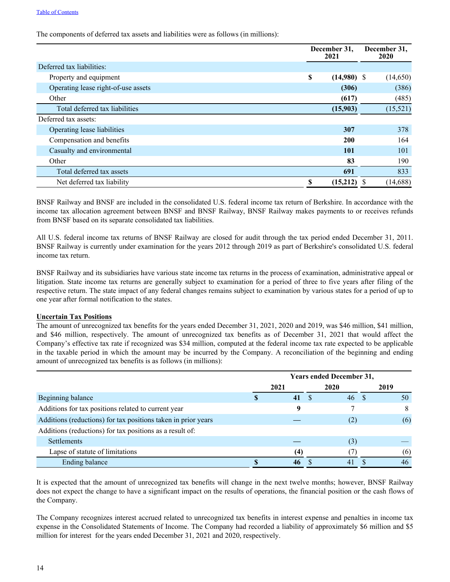The components of deferred tax assets and liabilities were as follows (in millions):

|                                     | December 31,<br>2021 | December 31,<br>2020 |
|-------------------------------------|----------------------|----------------------|
| Deferred tax liabilities:           |                      |                      |
| Property and equipment              | \$<br>$(14,980)$ \$  | (14,650)             |
| Operating lease right-of-use assets | (306)                | (386)                |
| Other                               | (617)                | (485)                |
| Total deferred tax liabilities      | (15,903)             | (15, 521)            |
| Deferred tax assets:                |                      |                      |
| Operating lease liabilities         | 307                  | 378                  |
| Compensation and benefits           | <b>200</b>           | 164                  |
| Casualty and environmental          | <b>101</b>           | 101                  |
| Other                               | 83                   | 190                  |
| Total deferred tax assets           | 691                  | 833                  |
| Net deferred tax liability          | \$<br>(15,212)       | (14, 688)            |

BNSF Railway and BNSF are included in the consolidated U.S. federal income tax return of Berkshire. In accordance with the income tax allocation agreement between BNSF and BNSF Railway, BNSF Railway makes payments to or receives refunds from BNSF based on its separate consolidated tax liabilities.

All U.S. federal income tax returns of BNSF Railway are closed for audit through the tax period ended December 31, 2011. BNSF Railway is currently under examination for the years 2012 through 2019 as part of Berkshire's consolidated U.S. federal income tax return.

BNSF Railway and its subsidiaries have various state income tax returns in the process of examination, administrative appeal or litigation. State income tax returns are generally subject to examination for a period of three to five years after filing of the respective return. The state impact of any federal changes remains subject to examination by various states for a period of up to one year after formal notification to the states.

#### **Uncertain Tax Positions**

The amount of unrecognized tax benefits for the years ended December 31, 2021, 2020 and 2019, was \$46 million, \$41 million, and \$46 million, respectively. The amount of unrecognized tax benefits as of December 31, 2021 that would affect the Company's effective tax rate if recognized was \$34 million, computed at the federal income tax rate expected to be applicable in the taxable period in which the amount may be incurred by the Company. A reconciliation of the beginning and ending amount of unrecognized tax benefits is as follows (in millions):

|                                                               | <b>Years ended December 31,</b> |      |  |      |  |      |  |  |  |
|---------------------------------------------------------------|---------------------------------|------|--|------|--|------|--|--|--|
|                                                               |                                 | 2021 |  | 2020 |  | 2019 |  |  |  |
| Beginning balance                                             |                                 | 41   |  | 46   |  | 50   |  |  |  |
| Additions for tax positions related to current year           |                                 | 9    |  |      |  | 8    |  |  |  |
| Additions (reductions) for tax positions taken in prior years |                                 |      |  | (2)  |  | (6)  |  |  |  |
| Additions (reductions) for tax positions as a result of:      |                                 |      |  |      |  |      |  |  |  |
| <b>Settlements</b>                                            |                                 |      |  | (3)  |  |      |  |  |  |
| Lapse of statute of limitations                               |                                 | (4)  |  |      |  | (6)  |  |  |  |
| <b>Ending balance</b>                                         |                                 | 46   |  | 41   |  | 46   |  |  |  |

It is expected that the amount of unrecognized tax benefits will change in the next twelve months; however, BNSF Railway does not expect the change to have a significant impact on the results of operations, the financial position or the cash flows of the Company.

The Company recognizes interest accrued related to unrecognized tax benefits in interest expense and penalties in income tax expense in the Consolidated Statements of Income. The Company had recorded a liability of approximately \$6 million and \$5 million for interest for the years ended December 31, 2021 and 2020, respectively.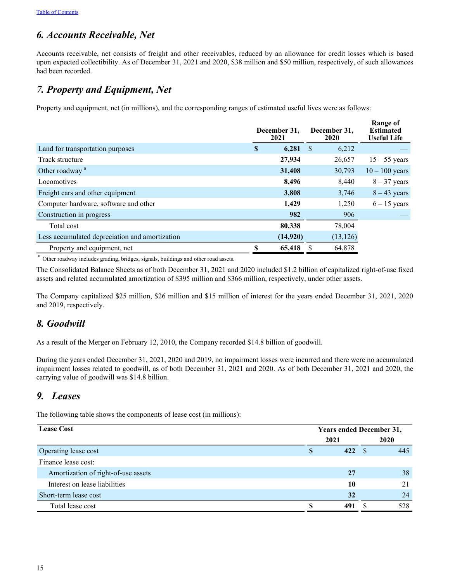## *6. Accounts Receivable, Net*

Accounts receivable, net consists of freight and other receivables, reduced by an allowance for credit losses which is based upon expected collectibility. As of December 31, 2021 and 2020, \$38 million and \$50 million, respectively, of such allowances had been recorded.

# *7. Property and Equipment, Net*

Property and equipment, net (in millions), and the corresponding ranges of estimated useful lives were as follows:

|                                                | December 31,<br>December 31,<br><b>2020</b><br>2021 |    |           | Range of<br><b>Estimated</b><br><b>Useful Life</b> |
|------------------------------------------------|-----------------------------------------------------|----|-----------|----------------------------------------------------|
| Land for transportation purposes               | \$<br>6,281                                         | -S | 6,212     |                                                    |
| Track structure                                | 27,934                                              |    | 26,657    | $15 - 55$ years                                    |
| Other roadway <sup>a</sup>                     | 31,408                                              |    | 30,793    | $10 - 100$ years                                   |
| Locomotives                                    | 8,496                                               |    | 8,440     | $8 - 37$ years                                     |
| Freight cars and other equipment               | 3,808                                               |    | 3,746     | $8 - 43$ years                                     |
| Computer hardware, software and other          | 1,429                                               |    | 1,250     | $6 - 15$ years                                     |
| Construction in progress                       | 982                                                 |    | 906       |                                                    |
| Total cost                                     | 80,338                                              |    | 78,004    |                                                    |
| Less accumulated depreciation and amortization | (14,920)                                            |    | (13, 126) |                                                    |
| Property and equipment, net                    | \$<br>65,418                                        |    | 64,878    |                                                    |

<sup>a</sup> Other roadway includes grading, bridges, signals, buildings and other road assets.

The Consolidated Balance Sheets as of both December 31, 2021 and 2020 included \$1.2 billion of capitalized right-of-use fixed assets and related accumulated amortization of \$395 million and \$366 million, respectively, under other assets.

The Company capitalized \$25 million, \$26 million and \$15 million of interest for the years ended December 31, 2021, 2020 and 2019, respectively.

### *8. Goodwill*

As a result of the Merger on February 12, 2010, the Company recorded \$14.8 billion of goodwill.

During the years ended December 31, 2021, 2020 and 2019, no impairment losses were incurred and there were no accumulated impairment losses related to goodwill, as of both December 31, 2021 and 2020. As of both December 31, 2021 and 2020, the carrying value of goodwill was \$14.8 billion.

### *9. Leases*

The following table shows the components of lease cost (in millions):

| <b>Lease Cost</b>                   | <b>Years ended December 31,</b> |      |      |      |  |
|-------------------------------------|---------------------------------|------|------|------|--|
|                                     |                                 | 2021 |      | 2020 |  |
| Operating lease cost                | S                               | 422  | - \$ | 445  |  |
| Finance lease cost:                 |                                 |      |      |      |  |
| Amortization of right-of-use assets |                                 | 27   |      | 38   |  |
| Interest on lease liabilities       |                                 | 10   |      | 21   |  |
| Short-term lease cost               |                                 | 32   |      | 24   |  |
| Total lease cost                    |                                 | 491  |      | 528  |  |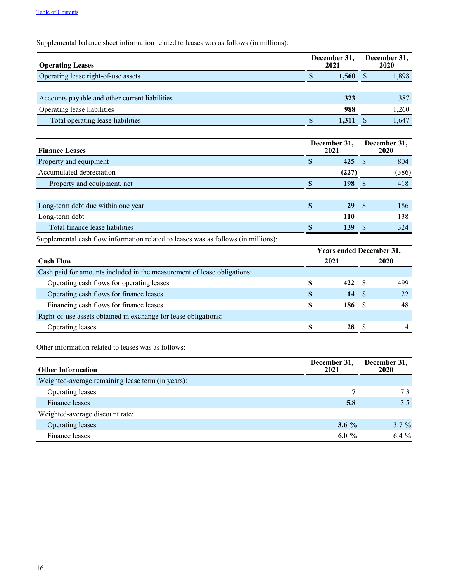Supplemental balance sheet information related to leases was as follows (in millions):

| <b>Operating Leases</b>                        | December 31,<br>2021 |       | December 31,<br>2020 |       |  |
|------------------------------------------------|----------------------|-------|----------------------|-------|--|
| Operating lease right-of-use assets            |                      | 1,560 |                      | 1,898 |  |
|                                                |                      |       |                      |       |  |
| Accounts payable and other current liabilities |                      | 323   |                      | 387   |  |
| Operating lease liabilities                    |                      | 988   |                      | 1,260 |  |
| Total operating lease liabilities              | S                    | 1.311 |                      | 1.647 |  |

| <b>Finance Leases</b>              |    | December 31,<br>2021 | December 31,<br>2020 |       |  |
|------------------------------------|----|----------------------|----------------------|-------|--|
| Property and equipment             | \$ | 425                  |                      | 804   |  |
| Accumulated depreciation           |    | (227)                |                      | (386) |  |
| Property and equipment, net        |    | 198                  |                      | 418   |  |
|                                    |    |                      |                      |       |  |
| Long-term debt due within one year | S  | 29                   | - S                  | 186   |  |
| Long-term debt                     |    | 110                  |                      | 138   |  |
| Total finance lease liabilities    | S  | 139                  |                      | 324   |  |

Supplemental cash flow information related to leases was as follows (in millions):

| <b>Years ended December 31,</b> |     |  |      |  |
|---------------------------------|-----|--|------|--|
| 2021                            |     |  | 2020 |  |
|                                 |     |  |      |  |
| S                               | 422 |  | 499  |  |
| S                               | 14  |  | 22   |  |
| S                               | 186 |  | 48   |  |
|                                 |     |  |      |  |
|                                 | 28  |  | 14   |  |
|                                 |     |  | - S  |  |

Other information related to leases was as follows:

| <b>Other Information</b>                          | December 31,<br>2021 | December 31,<br>2020 |
|---------------------------------------------------|----------------------|----------------------|
| Weighted-average remaining lease term (in years): |                      |                      |
| Operating leases                                  |                      | 7.3                  |
| Finance leases                                    | 5.8                  | 3.5                  |
| Weighted-average discount rate:                   |                      |                      |
| <b>Operating leases</b>                           | 3.6 $\%$             | $3.7\%$              |
| Finance leases                                    | 6.0 $%$              | $6.4\%$              |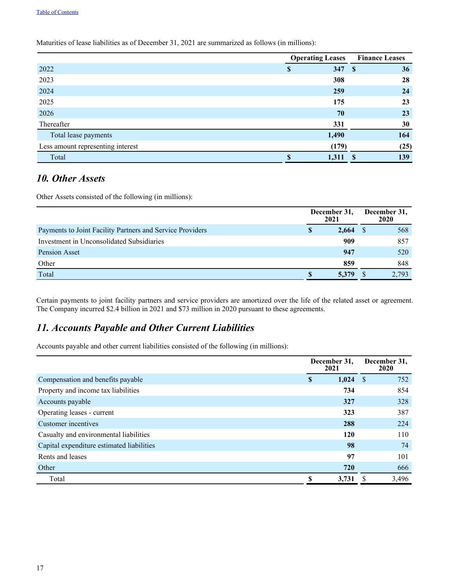Maturities of lease liabilities as of December 31, 2021 are summarized as follows (in millions):

|                                   |    | <b>Operating Leases</b> |    | <b>Finance Leases</b> |
|-----------------------------------|----|-------------------------|----|-----------------------|
| 2022                              | \$ | 347                     | -S | 36                    |
| 2023                              |    | 308                     |    | 28                    |
| 2024                              |    | 259                     |    | 24                    |
| 2025                              |    | 175                     |    | 23                    |
| 2026                              |    | 70                      |    | 23                    |
| Thereafter                        |    | 331                     |    | 30                    |
| Total lease payments              |    | 1,490                   |    | 164                   |
| Less amount representing interest |    | (179)                   |    | (25)                  |
| Total                             | S  | 1,311                   |    | 139                   |

## *10. Other Assets*

Other Assets consisted of the following (in millions):

|                                                           |              | December 31,<br>2021 | December 31,<br>2020 |       |  |
|-----------------------------------------------------------|--------------|----------------------|----------------------|-------|--|
| Payments to Joint Facility Partners and Service Providers | <sup>8</sup> | 2,664                |                      | 568   |  |
| Investment in Unconsolidated Subsidiaries                 |              | 909                  |                      | 857   |  |
| Pension Asset                                             |              | 947                  |                      | 520   |  |
| Other                                                     |              | 859                  |                      | 848   |  |
| Total                                                     |              | 5.379                |                      | 2,793 |  |

Certain payments to joint facility partners and service providers are amortized over the life of the related asset or agreement. The Company incurred \$2.4 billion in 2021 and \$73 million in 2020 pursuant to these agreements.

## *11. Accounts Payable and Other Current Liabilities*

Accounts payable and other current liabilities consisted of the following (in millions):

|                                           |   | December 31,<br>2021 | December 31,<br>2020 |
|-------------------------------------------|---|----------------------|----------------------|
| Compensation and benefits payable         | S | $1,024$ \$           | 752                  |
| Property and income tax liabilities       |   | 734                  | 854                  |
| Accounts payable                          |   | 327                  | 328                  |
| Operating leases - current                |   | 323                  | 387                  |
| Customer incentives                       |   | 288                  | 224                  |
| Casualty and environmental liabilities    |   | 120                  | 110                  |
| Capital expenditure estimated liabilities |   | 98                   | 74                   |
| Rents and leases                          |   | 97                   | 101                  |
| Other                                     |   | 720                  | 666                  |
| Total                                     | S | 3,731                | 3,496                |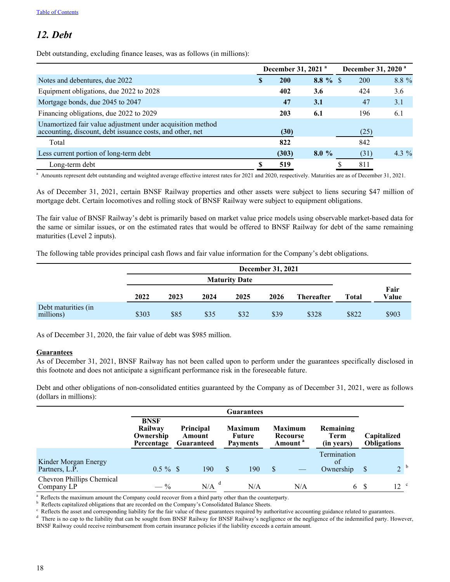## *12. Debt*

Debt outstanding, excluding finance leases, was as follows (in millions):

|                                                                                                                         | December 31, 2021 <sup>a</sup> |            |          | December 31, 2020 <sup>a</sup> |         |  |  |
|-------------------------------------------------------------------------------------------------------------------------|--------------------------------|------------|----------|--------------------------------|---------|--|--|
| Notes and debentures, due 2022                                                                                          | S                              | <b>200</b> | $8.8 \%$ | 200                            | $8.8\%$ |  |  |
| Equipment obligations, due 2022 to 2028                                                                                 |                                | 402        | 3.6      | 424                            | 3.6     |  |  |
| Mortgage bonds, due 2045 to 2047                                                                                        |                                | 47         | 3.1      | 47                             | 3.1     |  |  |
| Financing obligations, due 2022 to 2029                                                                                 |                                | 203        | 6.1      | 196                            | 6.1     |  |  |
| Unamortized fair value adjustment under acquisition method<br>accounting, discount, debt issuance costs, and other, net |                                | (30)       |          | (25)                           |         |  |  |
| Total                                                                                                                   |                                | 822        |          | 842                            |         |  |  |
| Less current portion of long-term debt                                                                                  |                                | (303)      | $8.0\%$  | (31)                           | $4.3\%$ |  |  |
| Long-term debt                                                                                                          | S                              | 519        |          | 811                            |         |  |  |

<sup>a</sup> Amounts represent debt outstanding and weighted average effective interest rates for 2021 and 2020, respectively. Maturities are as of December 31, 2021.

As of December 31, 2021, certain BNSF Railway properties and other assets were subject to liens securing \$47 million of mortgage debt. Certain locomotives and rolling stock of BNSF Railway were subject to equipment obligations.

The fair value of BNSF Railway's debt is primarily based on market value price models using observable market-based data for the same or similar issues, or on the estimated rates that would be offered to BNSF Railway for debt of the same remaining maturities (Level 2 inputs).

The following table provides principal cash flows and fair value information for the Company's debt obligations.

|                                  |                      | December 31, 2021 |      |      |      |                   |       |               |  |
|----------------------------------|----------------------|-------------------|------|------|------|-------------------|-------|---------------|--|
|                                  | <b>Maturity Date</b> |                   |      |      |      |                   |       |               |  |
|                                  | 2022                 | 2023              | 2024 | 2025 | 2026 | <b>Thereafter</b> | Total | Fair<br>Value |  |
| Debt maturities (in<br>millions) | \$303                | \$85              | \$35 | \$32 | \$39 | \$328             | \$822 | \$903         |  |

As of December 31, 2020, the fair value of debt was \$985 million.

#### **Guarantees**

As of December 31, 2021, BNSF Railway has not been called upon to perform under the guarantees specifically disclosed in this footnote and does not anticipate a significant performance risk in the foreseeable future.

Debt and other obligations of non-consolidated entities guaranteed by the Company as of December 31, 2021, were as follows (dollars in millions):

|                                         |                                                   |                                          | <b>Guarantees</b>                           |              |                                                   |                                 |    |                                   |
|-----------------------------------------|---------------------------------------------------|------------------------------------------|---------------------------------------------|--------------|---------------------------------------------------|---------------------------------|----|-----------------------------------|
|                                         | <b>BNSF</b><br>Railway<br>Ownership<br>Percentage | Principal<br>Amount<br><b>Guaranteed</b> | <b>Maximum</b><br>Future<br><b>Payments</b> |              | <b>Maximum</b><br>Recourse<br>Amount <sup>"</sup> | Remaining<br>Term<br>(in years) |    | Capitalized<br><b>Obligations</b> |
| Kinder Morgan Energy<br>Partners, L.P.  | $0.5 \%$ \$                                       | 190                                      | \$<br>190                                   | <sup>S</sup> |                                                   | Termination<br>of<br>Ownership  | -S | 2 <sup>b</sup>                    |
| Chevron Phillips Chemical<br>Company LP | $-$ %                                             | N/A                                      | N/A                                         |              | N/A                                               | 6 \$                            |    | 12 <sup>c</sup>                   |

<sup>a</sup> Reflects the maximum amount the Company could recover from a third party other than the counterparty.

<sup>b</sup> Reflects capitalized obligations that are recorded on the Company's Consolidated Balance Sheets.

 $\epsilon$  Reflects the asset and corresponding liability for the fair value of these guarantees required by authoritative accounting guidance related to guarantees.

 $d$  There is no cap to the liability that can be sought from BNSF Railway for BNSF Railway's negligence or the negligence of the indemnified party. However, BNSF Railway could receive reimbursement from certain insurance policies if the liability exceeds a certain amount.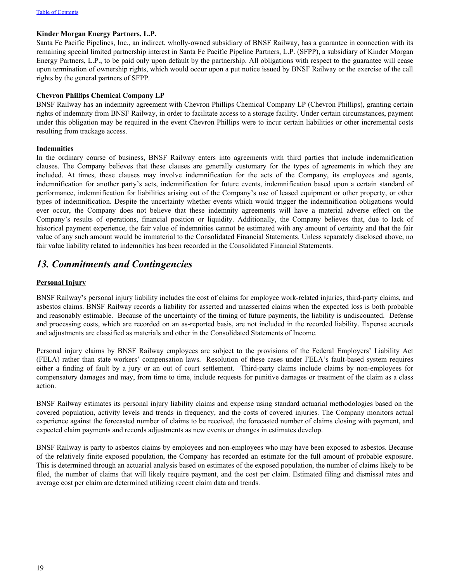#### **Kinder Morgan Energy Partners, L.P.**

Santa Fe Pacific Pipelines, Inc., an indirect, wholly-owned subsidiary of BNSF Railway, has a guarantee in connection with its remaining special limited partnership interest in Santa Fe Pacific Pipeline Partners, L.P. (SFPP), a subsidiary of Kinder Morgan Energy Partners, L.P., to be paid only upon default by the partnership. All obligations with respect to the guarantee will cease upon termination of ownership rights, which would occur upon a put notice issued by BNSF Railway or the exercise of the call rights by the general partners of SFPP.

#### **Chevron Phillips Chemical Company LP**

BNSF Railway has an indemnity agreement with Chevron Phillips Chemical Company LP (Chevron Phillips), granting certain rights of indemnity from BNSF Railway, in order to facilitate access to a storage facility. Under certain circumstances, payment under this obligation may be required in the event Chevron Phillips were to incur certain liabilities or other incremental costs resulting from trackage access.

#### **Indemnities**

In the ordinary course of business, BNSF Railway enters into agreements with third parties that include indemnification clauses. The Company believes that these clauses are generally customary for the types of agreements in which they are included. At times, these clauses may involve indemnification for the acts of the Company, its employees and agents, indemnification for another party's acts, indemnification for future events, indemnification based upon a certain standard of performance, indemnification for liabilities arising out of the Company's use of leased equipment or other property, or other types of indemnification. Despite the uncertainty whether events which would trigger the indemnification obligations would ever occur, the Company does not believe that these indemnity agreements will have a material adverse effect on the Company's results of operations, financial position or liquidity. Additionally, the Company believes that, due to lack of historical payment experience, the fair value of indemnities cannot be estimated with any amount of certainty and that the fair value of any such amount would be immaterial to the Consolidated Financial Statements. Unless separately disclosed above, no fair value liability related to indemnities has been recorded in the Consolidated Financial Statements.

### *13. Commitments and Contingencies*

#### **Personal Injury**

BNSF Railway**'**s personal injury liability includes the cost of claims for employee work-related injuries, third-party claims, and asbestos claims. BNSF Railway records a liability for asserted and unasserted claims when the expected loss is both probable and reasonably estimable. Because of the uncertainty of the timing of future payments, the liability is undiscounted. Defense and processing costs, which are recorded on an as-reported basis, are not included in the recorded liability. Expense accruals and adjustments are classified as materials and other in the Consolidated Statements of Income.

Personal injury claims by BNSF Railway employees are subject to the provisions of the Federal Employers' Liability Act (FELA) rather than state workers' compensation laws. Resolution of these cases under FELA's fault-based system requires either a finding of fault by a jury or an out of court settlement. Third-party claims include claims by non-employees for compensatory damages and may, from time to time, include requests for punitive damages or treatment of the claim as a class action.

BNSF Railway estimates its personal injury liability claims and expense using standard actuarial methodologies based on the covered population, activity levels and trends in frequency, and the costs of covered injuries. The Company monitors actual experience against the forecasted number of claims to be received, the forecasted number of claims closing with payment, and expected claim payments and records adjustments as new events or changes in estimates develop.

BNSF Railway is party to asbestos claims by employees and non-employees who may have been exposed to asbestos. Because of the relatively finite exposed population, the Company has recorded an estimate for the full amount of probable exposure. This is determined through an actuarial analysis based on estimates of the exposed population, the number of claims likely to be filed, the number of claims that will likely require payment, and the cost per claim. Estimated filing and dismissal rates and average cost per claim are determined utilizing recent claim data and trends.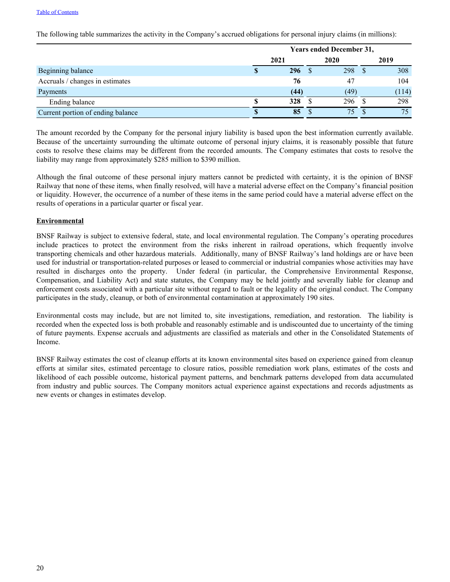The following table summarizes the activity in the Company's accrued obligations for personal injury claims (in millions):

|                                   | <b>Years ended December 31,</b> |            |  |      |  |       |  |  |
|-----------------------------------|---------------------------------|------------|--|------|--|-------|--|--|
|                                   |                                 | 2021       |  | 2020 |  | 2019  |  |  |
| Beginning balance                 |                                 | <b>296</b> |  | 298  |  | 308   |  |  |
| Accruals / changes in estimates   |                                 | 76         |  | 47   |  | 104   |  |  |
| <b>Payments</b>                   |                                 | (44)       |  | (49) |  | (114) |  |  |
| Ending balance                    |                                 | 328        |  | 296  |  | 298   |  |  |
| Current portion of ending balance |                                 | 85         |  | 75   |  | 75    |  |  |

The amount recorded by the Company for the personal injury liability is based upon the best information currently available. Because of the uncertainty surrounding the ultimate outcome of personal injury claims, it is reasonably possible that future costs to resolve these claims may be different from the recorded amounts. The Company estimates that costs to resolve the liability may range from approximately \$285 million to \$390 million.

Although the final outcome of these personal injury matters cannot be predicted with certainty, it is the opinion of BNSF Railway that none of these items, when finally resolved, will have a material adverse effect on the Company's financial position or liquidity. However, the occurrence of a number of these items in the same period could have a material adverse effect on the results of operations in a particular quarter or fiscal year.

#### **Environmental**

BNSF Railway is subject to extensive federal, state, and local environmental regulation. The Company's operating procedures include practices to protect the environment from the risks inherent in railroad operations, which frequently involve transporting chemicals and other hazardous materials. Additionally, many of BNSF Railway's land holdings are or have been used for industrial or transportation-related purposes or leased to commercial or industrial companies whose activities may have resulted in discharges onto the property. Under federal (in particular, the Comprehensive Environmental Response, Compensation, and Liability Act) and state statutes, the Company may be held jointly and severally liable for cleanup and enforcement costs associated with a particular site without regard to fault or the legality of the original conduct. The Company participates in the study, cleanup, or both of environmental contamination at approximately 190 sites.

Environmental costs may include, but are not limited to, site investigations, remediation, and restoration. The liability is recorded when the expected loss is both probable and reasonably estimable and is undiscounted due to uncertainty of the timing of future payments. Expense accruals and adjustments are classified as materials and other in the Consolidated Statements of Income.

BNSF Railway estimates the cost of cleanup efforts at its known environmental sites based on experience gained from cleanup efforts at similar sites, estimated percentage to closure ratios, possible remediation work plans, estimates of the costs and likelihood of each possible outcome, historical payment patterns, and benchmark patterns developed from data accumulated from industry and public sources. The Company monitors actual experience against expectations and records adjustments as new events or changes in estimates develop.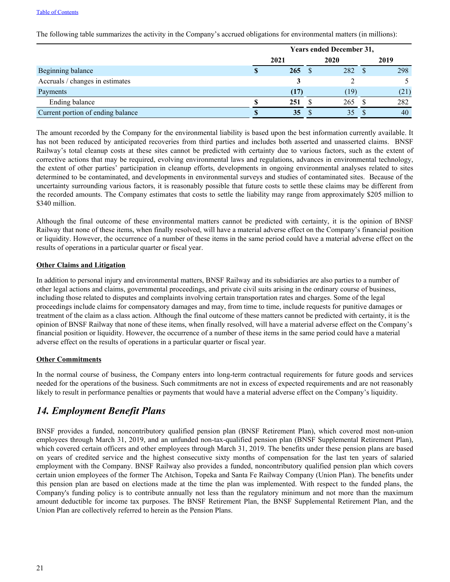The following table summarizes the activity in the Company's accrued obligations for environmental matters (in millions):

|                                   | <b>Years ended December 31,</b> |            |  |      |  |      |  |
|-----------------------------------|---------------------------------|------------|--|------|--|------|--|
|                                   |                                 | 2021       |  | 2020 |  | 2019 |  |
| Beginning balance                 |                                 | <b>265</b> |  | 282  |  | 298  |  |
| Accruals / changes in estimates   |                                 |            |  |      |  |      |  |
| Payments                          |                                 | (17)       |  | (19) |  | (21) |  |
| Ending balance                    |                                 | 251        |  | 265  |  | 282  |  |
| Current portion of ending balance |                                 | 35         |  | 35   |  | 40   |  |

The amount recorded by the Company for the environmental liability is based upon the best information currently available. It has not been reduced by anticipated recoveries from third parties and includes both asserted and unasserted claims. BNSF Railway's total cleanup costs at these sites cannot be predicted with certainty due to various factors, such as the extent of corrective actions that may be required, evolving environmental laws and regulations, advances in environmental technology, the extent of other parties' participation in cleanup efforts, developments in ongoing environmental analyses related to sites determined to be contaminated, and developments in environmental surveys and studies of contaminated sites. Because of the uncertainty surrounding various factors, it is reasonably possible that future costs to settle these claims may be different from the recorded amounts. The Company estimates that costs to settle the liability may range from approximately \$205 million to \$340 million.

Although the final outcome of these environmental matters cannot be predicted with certainty, it is the opinion of BNSF Railway that none of these items, when finally resolved, will have a material adverse effect on the Company's financial position or liquidity. However, the occurrence of a number of these items in the same period could have a material adverse effect on the results of operations in a particular quarter or fiscal year.

### **Other Claims and Litigation**

In addition to personal injury and environmental matters, BNSF Railway and its subsidiaries are also parties to a number of other legal actions and claims, governmental proceedings, and private civil suits arising in the ordinary course of business, including those related to disputes and complaints involving certain transportation rates and charges. Some of the legal proceedings include claims for compensatory damages and may, from time to time, include requests for punitive damages or treatment of the claim as a class action. Although the final outcome of these matters cannot be predicted with certainty, it is the opinion of BNSF Railway that none of these items, when finally resolved, will have a material adverse effect on the Company's financial position or liquidity. However, the occurrence of a number of these items in the same period could have a material adverse effect on the results of operations in a particular quarter or fiscal year.

### **Other Commitments**

In the normal course of business, the Company enters into long-term contractual requirements for future goods and services needed for the operations of the business. Such commitments are not in excess of expected requirements and are not reasonably likely to result in performance penalties or payments that would have a material adverse effect on the Company's liquidity.

## *14. Employment Benefit Plans*

BNSF provides a funded, noncontributory qualified pension plan (BNSF Retirement Plan), which covered most non-union employees through March 31, 2019, and an unfunded non-tax-qualified pension plan (BNSF Supplemental Retirement Plan), which covered certain officers and other employees through March 31, 2019. The benefits under these pension plans are based on years of credited service and the highest consecutive sixty months of compensation for the last ten years of salaried employment with the Company. BNSF Railway also provides a funded, noncontributory qualified pension plan which covers certain union employees of the former The Atchison, Topeka and Santa Fe Railway Company (Union Plan). The benefits under this pension plan are based on elections made at the time the plan was implemented. With respect to the funded plans, the Company's funding policy is to contribute annually not less than the regulatory minimum and not more than the maximum amount deductible for income tax purposes. The BNSF Retirement Plan, the BNSF Supplemental Retirement Plan, and the Union Plan are collectively referred to herein as the Pension Plans.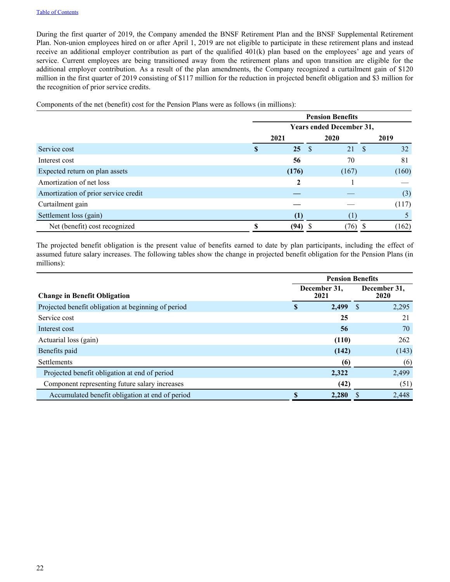During the first quarter of 2019, the Company amended the BNSF Retirement Plan and the BNSF Supplemental Retirement Plan. Non-union employees hired on or after April 1, 2019 are not eligible to participate in these retirement plans and instead receive an additional employer contribution as part of the qualified 401(k) plan based on the employees' age and years of service. Current employees are being transitioned away from the retirement plans and upon transition are eligible for the additional employer contribution. As a result of the plan amendments, the Company recognized a curtailment gain of \$120 million in the first quarter of 2019 consisting of \$117 million for the reduction in projected benefit obligation and \$3 million for the recognition of prior service credits.

Components of the net (benefit) cost for the Pension Plans were as follows (in millions):

|                                      |   | <b>Pension Benefits</b>         |  |                  |  |       |  |  |  |
|--------------------------------------|---|---------------------------------|--|------------------|--|-------|--|--|--|
|                                      |   | <b>Years ended December 31,</b> |  |                  |  |       |  |  |  |
|                                      |   | 2021                            |  | 2020             |  | 2019  |  |  |  |
| Service cost                         | S | $25 \quad$                      |  | $21 \quad$       |  | 32    |  |  |  |
| Interest cost                        |   | 56                              |  | 70               |  | 81    |  |  |  |
| Expected return on plan assets       |   | (176)                           |  | (167)            |  | (160) |  |  |  |
| Amortization of net loss             |   | 2                               |  |                  |  |       |  |  |  |
| Amortization of prior service credit |   |                                 |  |                  |  | (3)   |  |  |  |
| Curtailment gain                     |   |                                 |  |                  |  | (117) |  |  |  |
| Settlement loss (gain)               |   | (1)                             |  | $\left(1\right)$ |  |       |  |  |  |
| Net (benefit) cost recognized        |   | (94)                            |  | (76)             |  | (162) |  |  |  |

The projected benefit obligation is the present value of benefits earned to date by plan participants, including the effect of assumed future salary increases. The following tables show the change in projected benefit obligation for the Pension Plans (in millions):

|                                                     | <b>Pension Benefits</b> |                      |                      |  |  |
|-----------------------------------------------------|-------------------------|----------------------|----------------------|--|--|
| <b>Change in Benefit Obligation</b>                 |                         | December 31,<br>2021 | December 31,<br>2020 |  |  |
| Projected benefit obligation at beginning of period | S                       | 2,499                | 2,295<br>-S          |  |  |
| Service cost                                        |                         | 25                   | 21                   |  |  |
| Interest cost                                       |                         | 56                   | 70                   |  |  |
| Actuarial loss (gain)                               |                         | (110)                | 262                  |  |  |
| Benefits paid                                       |                         | (142)                | (143)                |  |  |
| Settlements                                         |                         | (6)                  | (6)                  |  |  |
| Projected benefit obligation at end of period       |                         | 2,322                | 2,499                |  |  |
| Component representing future salary increases      |                         | (42)                 | (51)                 |  |  |
| Accumulated benefit obligation at end of period     |                         | 2,280                | 2,448                |  |  |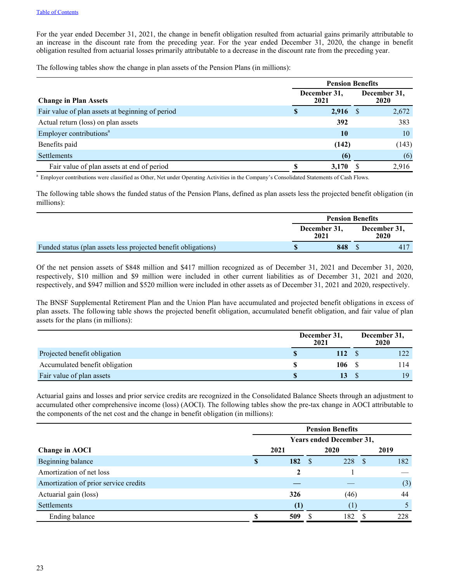For the year ended December 31, 2021, the change in benefit obligation resulted from actuarial gains primarily attributable to an increase in the discount rate from the preceding year. For the year ended December 31, 2020, the change in benefit obligation resulted from actuarial losses primarily attributable to a decrease in the discount rate from the preceding year.

The following tables show the change in plan assets of the Pension Plans (in millions):

|                                                  | <b>Pension Benefits</b> |                      |                      |       |  |  |  |
|--------------------------------------------------|-------------------------|----------------------|----------------------|-------|--|--|--|
| <b>Change in Plan Assets</b>                     |                         | December 31,<br>2021 | December 31,<br>2020 |       |  |  |  |
| Fair value of plan assets at beginning of period | S                       | 2,916                |                      | 2,672 |  |  |  |
| Actual return (loss) on plan assets              |                         | 392                  |                      | 383   |  |  |  |
| Employer contributions <sup>a</sup>              |                         | 10                   |                      | 10    |  |  |  |
| Benefits paid                                    |                         | (142)                |                      | (143) |  |  |  |
| Settlements                                      |                         | (6)                  |                      | (6)   |  |  |  |
| Fair value of plan assets at end of period       |                         | 3.170                |                      | 2,916 |  |  |  |

<sup>a</sup> Employer contributions were classified as Other, Net under Operating Activities in the Company's Consolidated Statements of Cash Flows.

The following table shows the funded status of the Pension Plans, defined as plan assets less the projected benefit obligation (in millions):

|                                                                |                      | <b>Pension Benefits</b> |                      |     |  |  |
|----------------------------------------------------------------|----------------------|-------------------------|----------------------|-----|--|--|
|                                                                | December 31,<br>2021 |                         | December 31,<br>2020 |     |  |  |
| Funded status (plan assets less projected benefit obligations) |                      | 848                     |                      | 417 |  |  |

Of the net pension assets of \$848 million and \$417 million recognized as of December 31, 2021 and December 31, 2020, respectively, \$10 million and \$9 million were included in other current liabilities as of December 31, 2021 and 2020, respectively, and \$947 million and \$520 million were included in other assets as of December 31, 2021 and 2020, respectively.

The BNSF Supplemental Retirement Plan and the Union Plan have accumulated and projected benefit obligations in excess of plan assets. The following table shows the projected benefit obligation, accumulated benefit obligation, and fair value of plan assets for the plans (in millions):

|                                | December 31,<br>2021 |     |  | December 31,<br>2020 |  |  |
|--------------------------------|----------------------|-----|--|----------------------|--|--|
| Projected benefit obligation   |                      | 112 |  |                      |  |  |
| Accumulated benefit obligation |                      | 106 |  | 114                  |  |  |
| Fair value of plan assets      |                      |     |  | 19                   |  |  |

Actuarial gains and losses and prior service credits are recognized in the Consolidated Balance Sheets through an adjustment to accumulated other comprehensive income (loss) (AOCI). The following tables show the pre-tax change in AOCI attributable to the components of the net cost and the change in benefit obligation (in millions):

|                                       | <b>Pension Benefits</b> |                                 |      |        |  |      |
|---------------------------------------|-------------------------|---------------------------------|------|--------|--|------|
|                                       |                         | <b>Years ended December 31,</b> |      |        |  |      |
| <b>Change in AOCI</b>                 |                         | 2021                            | 2020 |        |  | 2019 |
| Beginning balance                     | S                       | 182                             | - S  | 228 \$ |  | 182  |
| Amortization of net loss              |                         | 2                               |      |        |  |      |
| Amortization of prior service credits |                         |                                 |      |        |  | (3)  |
| Actuarial gain (loss)                 |                         | 326                             |      | (46)   |  | 44   |
| <b>Settlements</b>                    |                         | Ш                               |      |        |  |      |
| Ending balance                        |                         | 509                             |      | 182    |  | 228  |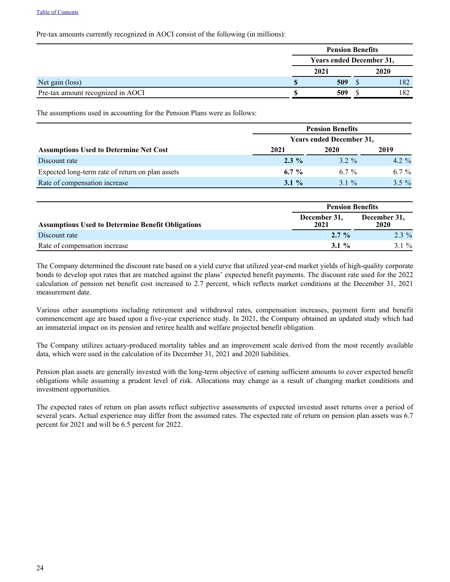#### [Table of Contents](#page-1-0)

#### Pre-tax amounts currently recognized in AOCI consist of the following (in millions):

|                                   | <b>Pension Benefits</b> |                                 |  |      |
|-----------------------------------|-------------------------|---------------------------------|--|------|
|                                   |                         | <b>Years ended December 31,</b> |  |      |
|                                   |                         | 2021                            |  | 2020 |
| Net gain (loss)                   |                         | 509                             |  | 182  |
| Pre-tax amount recognized in AOCI |                         | 509                             |  | 182  |

The assumptions used in accounting for the Pension Plans were as follows:

|                                                  |                                 | <b>Pension Benefits</b> |          |  |  |  |  |  |  |
|--------------------------------------------------|---------------------------------|-------------------------|----------|--|--|--|--|--|--|
|                                                  | <b>Years ended December 31,</b> |                         |          |  |  |  |  |  |  |
| <b>Assumptions Used to Determine Net Cost</b>    | 2021                            | 2020                    | 2019     |  |  |  |  |  |  |
| Discount rate                                    | $2.3\%$                         | $32\%$                  | 4.2 $\%$ |  |  |  |  |  |  |
| Expected long-term rate of return on plan assets | 6.7 $\%$                        | 6.7 %                   | $6.7\%$  |  |  |  |  |  |  |
| Rate of compensation increase                    | 3.1 $%$                         | $31\%$                  | $3.5 \%$ |  |  |  |  |  |  |

|                                                          | <b>Pension Benefits</b> |                      |
|----------------------------------------------------------|-------------------------|----------------------|
| <b>Assumptions Used to Determine Benefit Obligations</b> | December 31,<br>2021    | December 31,<br>2020 |
| Discount rate                                            | $2.7\%$                 | $2.3\%$              |
| Rate of compensation increase                            | 3.1 $\%$                | $3.1 \%$             |

The Company determined the discount rate based on a yield curve that utilized year-end market yields of high-quality corporate bonds to develop spot rates that are matched against the plans' expected benefit payments. The discount rate used for the 2022 calculation of pension net benefit cost increased to 2.7 percent, which reflects market conditions at the December 31, 2021 measurement date.

Various other assumptions including retirement and withdrawal rates, compensation increases, payment form and benefit commencement age are based upon a five-year experience study. In 2021, the Company obtained an updated study which had an immaterial impact on its pension and retiree health and welfare projected benefit obligation.

The Company utilizes actuary-produced mortality tables and an improvement scale derived from the most recently available data, which were used in the calculation of its December 31, 2021 and 2020 liabilities.

Pension plan assets are generally invested with the long-term objective of earning sufficient amounts to cover expected benefit obligations while assuming a prudent level of risk. Allocations may change as a result of changing market conditions and investment opportunities.

The expected rates of return on plan assets reflect subjective assessments of expected invested asset returns over a period of several years. Actual experience may differ from the assumed rates. The expected rate of return on pension plan assets was 6.7 percent for 2021 and will be 6.5 percent for 2022.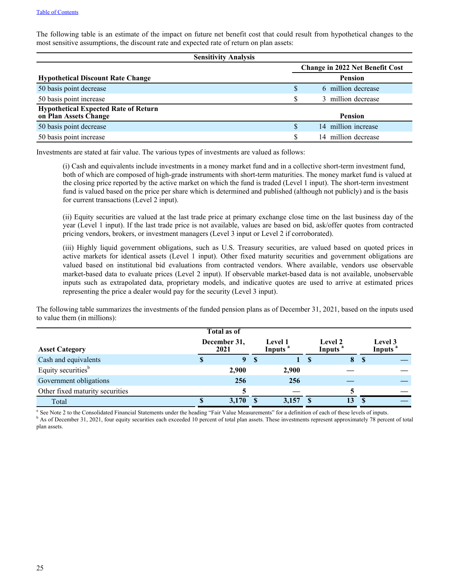The following table is an estimate of the impact on future net benefit cost that could result from hypothetical changes to the most sensitive assumptions, the discount rate and expected rate of return on plan assets:

| <b>Sensitivity Analysis</b>                                          |                                        |                     |  |  |
|----------------------------------------------------------------------|----------------------------------------|---------------------|--|--|
|                                                                      | <b>Change in 2022 Net Benefit Cost</b> |                     |  |  |
| <b>Hypothetical Discount Rate Change</b>                             |                                        | <b>Pension</b>      |  |  |
| 50 basis point decrease                                              |                                        | 6 million decrease  |  |  |
| 50 basis point increase                                              |                                        | 3 million decrease  |  |  |
| <b>Hypothetical Expected Rate of Return</b><br>on Plan Assets Change |                                        | <b>Pension</b>      |  |  |
| 50 basis point decrease                                              | S                                      | 14 million increase |  |  |
| 50 basis point increase                                              |                                        | 14 million decrease |  |  |

Investments are stated at fair value. The various types of investments are valued as follows:

(i) Cash and equivalents include investments in a money market fund and in a collective short-term investment fund, both of which are composed of high-grade instruments with short-term maturities. The money market fund is valued at the closing price reported by the active market on which the fund is traded (Level 1 input). The short-term investment fund is valued based on the price per share which is determined and published (although not publicly) and is the basis for current transactions (Level 2 input).

(ii) Equity securities are valued at the last trade price at primary exchange close time on the last business day of the year (Level 1 input). If the last trade price is not available, values are based on bid, ask/offer quotes from contracted pricing vendors, brokers, or investment managers (Level 3 input or Level 2 if corroborated).

(iii) Highly liquid government obligations, such as U.S. Treasury securities, are valued based on quoted prices in active markets for identical assets (Level 1 input). Other fixed maturity securities and government obligations are valued based on institutional bid evaluations from contracted vendors. Where available, vendors use observable market-based data to evaluate prices (Level 2 input). If observable market-based data is not available, unobservable inputs such as extrapolated data, proprietary models, and indicative quotes are used to arrive at estimated prices representing the price a dealer would pay for the security (Level 3 input).

The following table summarizes the investments of the funded pension plans as of December 31, 2021, based on the inputs used to value them (in millions):

| <b>Total as of</b>              |                      |       |          |                                       |  |                                |          |                                |
|---------------------------------|----------------------|-------|----------|---------------------------------------|--|--------------------------------|----------|--------------------------------|
| <b>Asset Category</b>           | December 31,<br>2021 |       |          | <b>Level 1</b><br>Inputs <sup>a</sup> |  | Level 2<br>Inputs <sup>a</sup> |          | Level 3<br>Inputs <sup>a</sup> |
| Cash and equivalents            | -S                   | 9     | - \$     |                                       |  | 8                              | <b>S</b> |                                |
| Equity securities <sup>b</sup>  |                      | 2,900 |          | 2,900                                 |  |                                |          |                                |
| Government obligations          |                      | 256   |          | 256                                   |  |                                |          |                                |
| Other fixed maturity securities |                      |       |          |                                       |  |                                |          |                                |
| Total                           |                      | 3,170 | <b>S</b> | 3,157                                 |  | 13                             | S        |                                |

<sup>a</sup> See Note 2 to the Consolidated Financial Statements under the heading "Fair Value Measurements" for a definition of each of these levels of inputs. <sup>b</sup> As of December 31, 2021, four equity securities each exceeded 10 percent of total plan assets. These investments represent approximately 78 percent of total plan assets.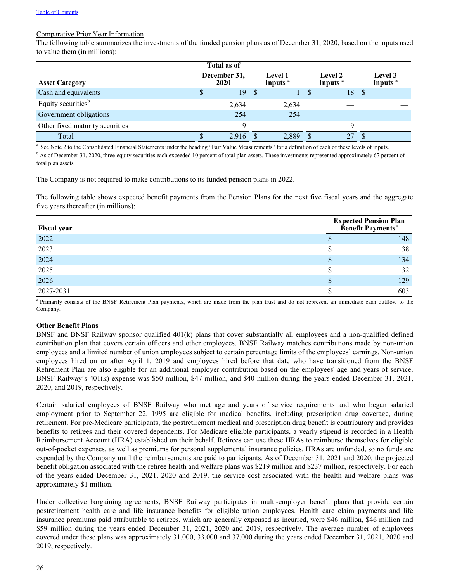### Comparative Prior Year Information

The following table summarizes the investments of the funded pension plans as of December 31, 2020, based on the inputs used to value them (in millions):

| <b>Total as of</b>              |                             |       |  |                                       |  |                                       |                                |
|---------------------------------|-----------------------------|-------|--|---------------------------------------|--|---------------------------------------|--------------------------------|
| <b>Asset Category</b>           | December 31,<br><b>2020</b> |       |  | <b>Level 1</b><br>Inputs <sup>a</sup> |  | <b>Level 2</b><br>Inputs <sup>a</sup> | Level 3<br>Inputs <sup>a</sup> |
| Cash and equivalents            |                             | 19    |  |                                       |  | 18                                    |                                |
| Equity securities <sup>b</sup>  |                             | 2,634 |  | 2,634                                 |  |                                       |                                |
| Government obligations          |                             | 254   |  | 254                                   |  |                                       |                                |
| Other fixed maturity securities |                             | Q     |  |                                       |  |                                       |                                |
| Total                           |                             | 2.916 |  | 2,889                                 |  |                                       |                                |

<sup>a</sup> See Note 2 to the Consolidated Financial Statements under the heading "Fair Value Measurements" for a definition of each of these levels of inputs. <sup>b</sup> As of December 31, 2020, three equity securities each exceeded 10 percent of total plan assets. These investments represented approximately 67 percent of

total plan assets.

The Company is not required to make contributions to its funded pension plans in 2022.

The following table shows expected benefit payments from the Pension Plans for the next five fiscal years and the aggregate five years thereafter (in millions):

| <b>Fiscal year</b> |     | <b>Expected Pension Plan<br/>Benefit Payments<sup>a</sup></b> |  |  |
|--------------------|-----|---------------------------------------------------------------|--|--|
| 2022               | Φ   | 148                                                           |  |  |
| 2023               | S   | 138                                                           |  |  |
| 2024               | S   | 134                                                           |  |  |
| 2025               | S   | 132                                                           |  |  |
| 2026               | \$. | 129                                                           |  |  |
| 2027-2031          | ъ   | 603                                                           |  |  |

<sup>a</sup> Primarily consists of the BNSF Retirement Plan payments, which are made from the plan trust and do not represent an immediate cash outflow to the Company.

### **Other Benefit Plans**

BNSF and BNSF Railway sponsor qualified 401(k) plans that cover substantially all employees and a non-qualified defined contribution plan that covers certain officers and other employees. BNSF Railway matches contributions made by non-union employees and a limited number of union employees subject to certain percentage limits of the employees' earnings. Non-union employees hired on or after April 1, 2019 and employees hired before that date who have transitioned from the BNSF Retirement Plan are also eligible for an additional employer contribution based on the employees' age and years of service. BNSF Railway's 401(k) expense was \$50 million, \$47 million, and \$40 million during the years ended December 31, 2021, 2020, and 2019, respectively.

Certain salaried employees of BNSF Railway who met age and years of service requirements and who began salaried employment prior to September 22, 1995 are eligible for medical benefits, including prescription drug coverage, during retirement. For pre-Medicare participants, the postretirement medical and prescription drug benefit is contributory and provides benefits to retirees and their covered dependents. For Medicare eligible participants, a yearly stipend is recorded in a Health Reimbursement Account (HRA) established on their behalf. Retirees can use these HRAs to reimburse themselves for eligible out-of-pocket expenses, as well as premiums for personal supplemental insurance policies. HRAs are unfunded, so no funds are expended by the Company until the reimbursements are paid to participants. As of December 31, 2021 and 2020, the projected benefit obligation associated with the retiree health and welfare plans was \$219 million and \$237 million, respectively. For each of the years ended December 31, 2021, 2020 and 2019, the service cost associated with the health and welfare plans was approximately \$1 million.

Under collective bargaining agreements, BNSF Railway participates in multi-employer benefit plans that provide certain postretirement health care and life insurance benefits for eligible union employees. Health care claim payments and life insurance premiums paid attributable to retirees, which are generally expensed as incurred, were \$46 million, \$46 million and \$59 million during the years ended December 31, 2021, 2020 and 2019, respectively. The average number of employees covered under these plans was approximately 31,000, 33,000 and 37,000 during the years ended December 31, 2021, 2020 and 2019, respectively.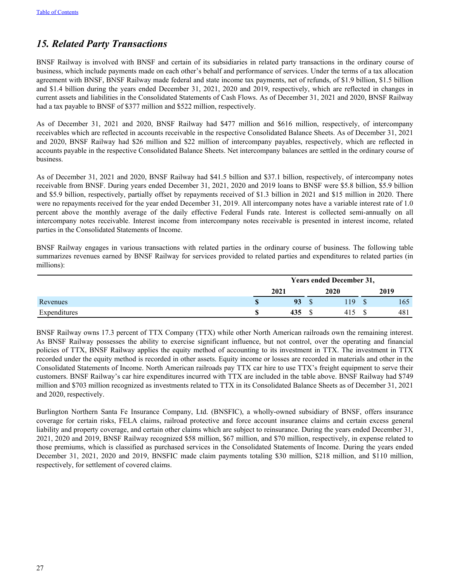## *15. Related Party Transactions*

BNSF Railway is involved with BNSF and certain of its subsidiaries in related party transactions in the ordinary course of business, which include payments made on each other's behalf and performance of services. Under the terms of a tax allocation agreement with BNSF, BNSF Railway made federal and state income tax payments, net of refunds, of \$1.9 billion, \$1.5 billion and \$1.4 billion during the years ended December 31, 2021, 2020 and 2019, respectively, which are reflected in changes in current assets and liabilities in the Consolidated Statements of Cash Flows. As of December 31, 2021 and 2020, BNSF Railway had a tax payable to BNSF of \$377 million and \$522 million, respectively.

As of December 31, 2021 and 2020, BNSF Railway had \$477 million and \$616 million, respectively, of intercompany receivables which are reflected in accounts receivable in the respective Consolidated Balance Sheets. As of December 31, 2021 and 2020, BNSF Railway had \$26 million and \$22 million of intercompany payables, respectively, which are reflected in accounts payable in the respective Consolidated Balance Sheets. Net intercompany balances are settled in the ordinary course of business.

As of December 31, 2021 and 2020, BNSF Railway had \$41.5 billion and \$37.1 billion, respectively, of intercompany notes receivable from BNSF. During years ended December 31, 2021, 2020 and 2019 loans to BNSF were \$5.8 billion, \$5.9 billion and \$5.9 billion, respectively, partially offset by repayments received of \$1.3 billion in 2021 and \$15 million in 2020. There were no repayments received for the year ended December 31, 2019. All intercompany notes have a variable interest rate of 1.0 percent above the monthly average of the daily effective Federal Funds rate. Interest is collected semi-annually on all intercompany notes receivable. Interest income from intercompany notes receivable is presented in interest income, related parties in the Consolidated Statements of Income.

BNSF Railway engages in various transactions with related parties in the ordinary course of business. The following table summarizes revenues earned by BNSF Railway for services provided to related parties and expenditures to related parties (in millions):

|              | <b>Years ended December 31,</b> |  |      |  |      |
|--------------|---------------------------------|--|------|--|------|
|              | 2021                            |  | 2020 |  | 2019 |
| Revenues     | 93                              |  | 19   |  | 165  |
| Expenditures | 435                             |  | 415  |  | 481  |

BNSF Railway owns 17.3 percent of TTX Company (TTX) while other North American railroads own the remaining interest. As BNSF Railway possesses the ability to exercise significant influence, but not control, over the operating and financial policies of TTX, BNSF Railway applies the equity method of accounting to its investment in TTX. The investment in TTX recorded under the equity method is recorded in other assets. Equity income or losses are recorded in materials and other in the Consolidated Statements of Income. North American railroads pay TTX car hire to use TTX's freight equipment to serve their customers. BNSF Railway's car hire expenditures incurred with TTX are included in the table above. BNSF Railway had \$749 million and \$703 million recognized as investments related to TTX in its Consolidated Balance Sheets as of December 31, 2021 and 2020, respectively.

Burlington Northern Santa Fe Insurance Company, Ltd. (BNSFIC), a wholly-owned subsidiary of BNSF, offers insurance coverage for certain risks, FELA claims, railroad protective and force account insurance claims and certain excess general liability and property coverage, and certain other claims which are subject to reinsurance. During the years ended December 31, 2021, 2020 and 2019, BNSF Railway recognized \$58 million, \$67 million, and \$70 million, respectively, in expense related to those premiums, which is classified as purchased services in the Consolidated Statements of Income. During the years ended December 31, 2021, 2020 and 2019, BNSFIC made claim payments totaling \$30 million, \$218 million, and \$110 million, respectively, for settlement of covered claims.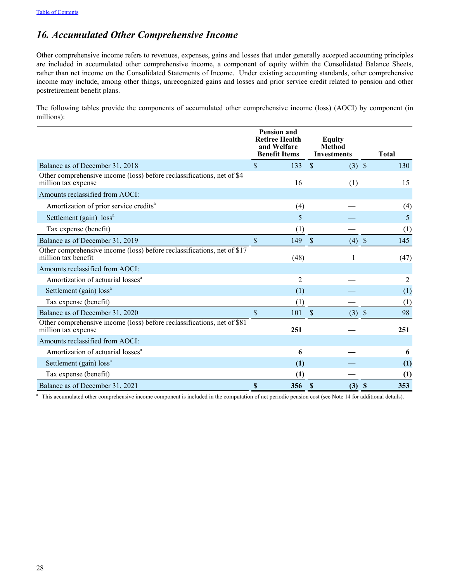# *16. Accumulated Other Comprehensive Income*

Other comprehensive income refers to revenues, expenses, gains and losses that under generally accepted accounting principles are included in accumulated other comprehensive income, a component of equity within the Consolidated Balance Sheets, rather than net income on the Consolidated Statements of Income. Under existing accounting standards, other comprehensive income may include, among other things, unrecognized gains and losses and prior service credit related to pension and other postretirement benefit plans.

The following tables provide the components of accumulated other comprehensive income (loss) (AOCI) by component (in millions):

|                                                                                                | <b>Pension and</b><br><b>Retiree Health</b><br>and Welfare<br><b>Benefit Items</b> | <b>Equity</b><br><b>Method</b><br><b>Investments</b> | <b>Total</b>        |
|------------------------------------------------------------------------------------------------|------------------------------------------------------------------------------------|------------------------------------------------------|---------------------|
| Balance as of December 31, 2018                                                                | $\boldsymbol{\mathsf{S}}$<br>133                                                   | $\mathcal{S}$<br>$(3)$ \$                            | 130                 |
| Other comprehensive income (loss) before reclassifications, net of \$4<br>million tax expense  | 16                                                                                 | (1)                                                  | 15                  |
| Amounts reclassified from AOCI:                                                                |                                                                                    |                                                      |                     |
| Amortization of prior service credits <sup>a</sup>                                             | (4)                                                                                |                                                      | (4)                 |
| Settlement (gain) loss <sup>a</sup>                                                            | 5                                                                                  |                                                      | 5                   |
| Tax expense (benefit)                                                                          | (1)                                                                                |                                                      | (1)                 |
| Balance as of December 31, 2019                                                                | $\mathbb{S}$<br>149                                                                | $\mathcal{S}$<br>$(4)$ \$                            | 145                 |
| Other comprehensive income (loss) before reclassifications, net of \$17<br>million tax benefit | (48)                                                                               |                                                      | (47)                |
| Amounts reclassified from AOCI:                                                                |                                                                                    |                                                      |                     |
| Amortization of actuarial losses <sup>a</sup>                                                  | 2                                                                                  |                                                      | 2                   |
| Settlement (gain) loss <sup>a</sup>                                                            | (1)                                                                                |                                                      | (1)                 |
| Tax expense (benefit)                                                                          | (1)                                                                                |                                                      | (1)                 |
| Balance as of December 31, 2020                                                                | $\mathbf{\hat{S}}$<br>101                                                          | $\mathsf{\$}$<br>(3)                                 | $\mathcal{S}$<br>98 |
| Other comprehensive income (loss) before reclassifications, net of \$81<br>million tax expense | 251                                                                                |                                                      | 251                 |
| Amounts reclassified from AOCI:                                                                |                                                                                    |                                                      |                     |
| Amortization of actuarial losses <sup>a</sup>                                                  | 6                                                                                  |                                                      | 6                   |
| Settlement (gain) loss <sup>a</sup>                                                            | (1)                                                                                |                                                      | (1)                 |
| Tax expense (benefit)                                                                          | (1)                                                                                |                                                      | $\left(1\right)$    |
| Balance as of December 31, 2021                                                                | $\boldsymbol{\mathsf{S}}$<br>356                                                   | $(3)$ \$<br><sup>\$</sup>                            | 353                 |

<sup>a</sup> This accumulated other comprehensive income component is included in the computation of net periodic pension cost (see Note 14 for additional details).